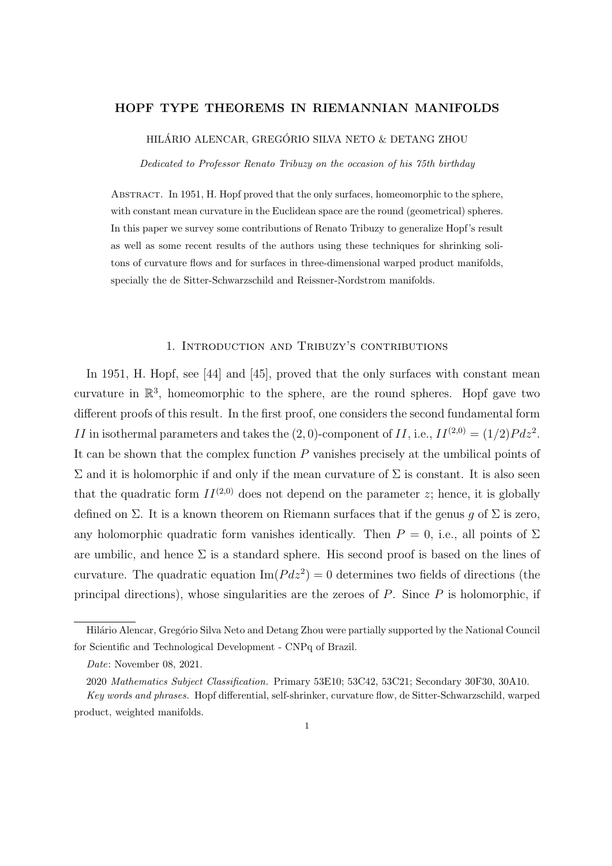## HOPF TYPE THEOREMS IN RIEMANNIAN MANIFOLDS

HILÁRIO ALENCAR, GREGÓRIO SILVA NETO & DETANG ZHOU

Dedicated to Professor Renato Tribuzy on the occasion of his 75th birthday

Abstract. In 1951, H. Hopf proved that the only surfaces, homeomorphic to the sphere, with constant mean curvature in the Euclidean space are the round (geometrical) spheres. In this paper we survey some contributions of Renato Tribuzy to generalize Hopf's result as well as some recent results of the authors using these techniques for shrinking solitons of curvature flows and for surfaces in three-dimensional warped product manifolds, specially the de Sitter-Schwarzschild and Reissner-Nordstrom manifolds.

### 1. Introduction and Tribuzy's contributions

In 1951, H. Hopf, see [44] and [45], proved that the only surfaces with constant mean curvature in  $\mathbb{R}^3$ , homeomorphic to the sphere, are the round spheres. Hopf gave two different proofs of this result. In the first proof, one considers the second fundamental form II in isothermal parameters and takes the  $(2,0)$ -component of II, i.e.,  $II^{(2,0)} = (1/2)Pdz^2$ . It can be shown that the complex function P vanishes precisely at the umbilical points of  $\Sigma$  and it is holomorphic if and only if the mean curvature of  $\Sigma$  is constant. It is also seen that the quadratic form  $II^{(2,0)}$  does not depend on the parameter z; hence, it is globally defined on  $\Sigma$ . It is a known theorem on Riemann surfaces that if the genus g of  $\Sigma$  is zero, any holomorphic quadratic form vanishes identically. Then  $P = 0$ , i.e., all points of  $\Sigma$ are umbilic, and hence  $\Sigma$  is a standard sphere. His second proof is based on the lines of curvature. The quadratic equation  $\text{Im}(P dz^2) = 0$  determines two fields of directions (the principal directions), whose singularities are the zeroes of  $P$ . Since  $P$  is holomorphic, if

Hilário Alencar, Gregório Silva Neto and Detang Zhou were partially supported by the National Council for Scientific and Technological Development - CNPq of Brazil.

Date: November 08, 2021.

<sup>2020</sup> Mathematics Subject Classification. Primary 53E10; 53C42, 53C21; Secondary 30F30, 30A10.

Key words and phrases. Hopf differential, self-shrinker, curvature flow, de Sitter-Schwarzschild, warped product, weighted manifolds.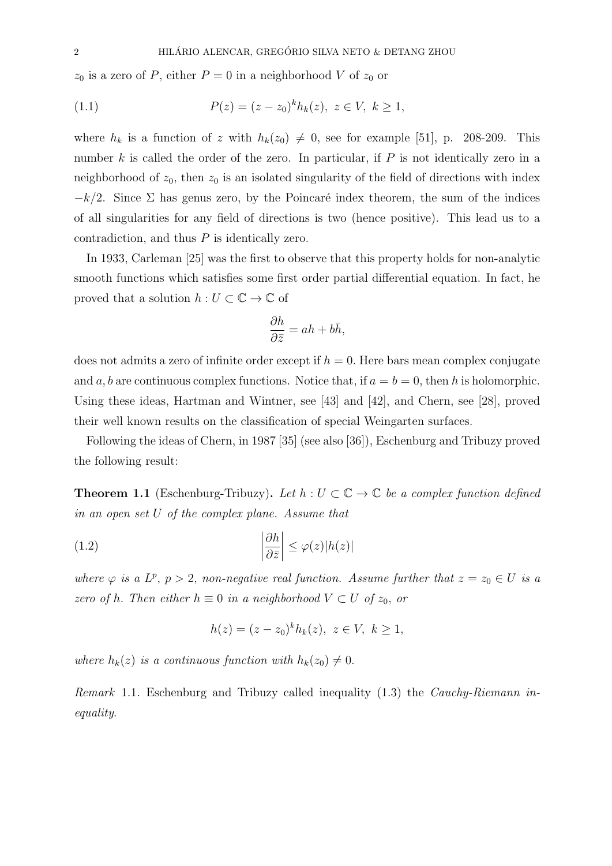$z_0$  is a zero of P, either  $P = 0$  in a neighborhood V of  $z_0$  or

(1.1) 
$$
P(z) = (z - z_0)^k h_k(z), \ z \in V, \ k \ge 1,
$$

where  $h_k$  is a function of z with  $h_k(z_0) \neq 0$ , see for example [51], p. 208-209. This number  $k$  is called the order of the zero. In particular, if  $P$  is not identically zero in a neighborhood of  $z_0$ , then  $z_0$  is an isolated singularity of the field of directions with index  $-k/2$ . Since  $\Sigma$  has genus zero, by the Poincaré index theorem, the sum of the indices of all singularities for any field of directions is two (hence positive). This lead us to a contradiction, and thus P is identically zero.

In 1933, Carleman [25] was the first to observe that this property holds for non-analytic smooth functions which satisfies some first order partial differential equation. In fact, he proved that a solution  $h: U \subset \mathbb{C} \to \mathbb{C}$  of

$$
\frac{\partial h}{\partial \bar{z}} = ah + b\bar{h},
$$

does not admits a zero of infinite order except if  $h = 0$ . Here bars mean complex conjugate and a, b are continuous complex functions. Notice that, if  $a = b = 0$ , then h is holomorphic. Using these ideas, Hartman and Wintner, see [43] and [42], and Chern, see [28], proved their well known results on the classification of special Weingarten surfaces.

Following the ideas of Chern, in 1987 [35] (see also [36]), Eschenburg and Tribuzy proved the following result:

**Theorem 1.1** (Eschenburg-Tribuzy). Let  $h: U \subset \mathbb{C} \to \mathbb{C}$  be a complex function defined in an open set U of the complex plane. Assume that

(1.2) 
$$
\left|\frac{\partial h}{\partial \bar{z}}\right| \leq \varphi(z)|h(z)|
$$

where  $\varphi$  is a  $L^p$ ,  $p > 2$ , non-negative real function. Assume further that  $z = z_0 \in U$  is a zero of h. Then either  $h \equiv 0$  in a neighborhood  $V \subset U$  of  $z_0$ , or

$$
h(z) = (z - z_0)^k h_k(z), \ z \in V, \ k \ge 1,
$$

where  $h_k(z)$  is a continuous function with  $h_k(z_0) \neq 0$ .

Remark 1.1. Eschenburg and Tribuzy called inequality (1.3) the *Cauchy-Riemann in*equality.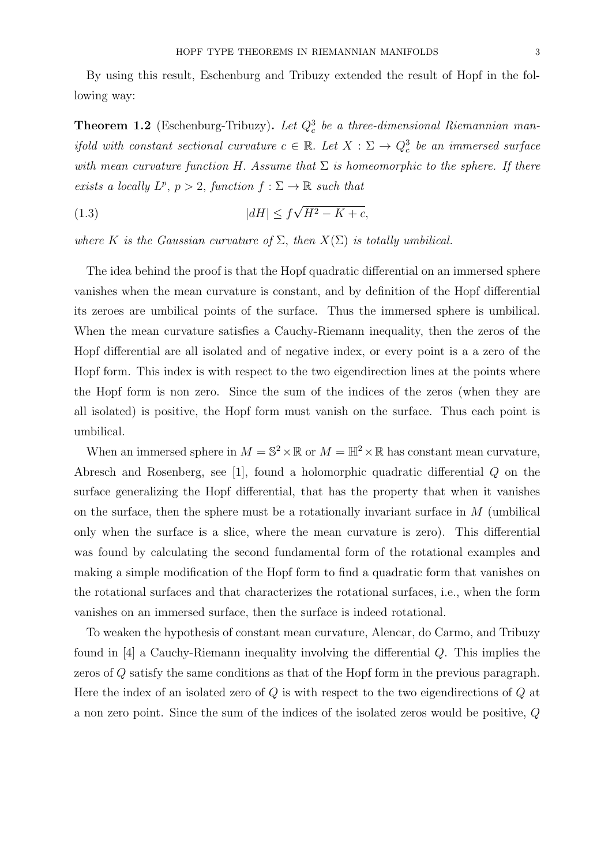By using this result, Eschenburg and Tribuzy extended the result of Hopf in the following way:

**Theorem 1.2** (Eschenburg-Tribuzy). Let  $Q_c^3$  be a three-dimensional Riemannian manifold with constant sectional curvature  $c \in \mathbb{R}$ . Let  $X : \Sigma \to Q_c^3$  be an immersed surface with mean curvature function H. Assume that  $\Sigma$  is homeomorphic to the sphere. If there exists a locally  $L^p$ ,  $p > 2$ , function  $f : \Sigma \to \mathbb{R}$  such that

$$
(1.3)\qquad |dH| \le f\sqrt{H^2 - K + c},
$$

where K is the Gaussian curvature of  $\Sigma$ , then  $X(\Sigma)$  is totally umbilical.

The idea behind the proof is that the Hopf quadratic differential on an immersed sphere vanishes when the mean curvature is constant, and by definition of the Hopf differential its zeroes are umbilical points of the surface. Thus the immersed sphere is umbilical. When the mean curvature satisfies a Cauchy-Riemann inequality, then the zeros of the Hopf differential are all isolated and of negative index, or every point is a a zero of the Hopf form. This index is with respect to the two eigendirection lines at the points where the Hopf form is non zero. Since the sum of the indices of the zeros (when they are all isolated) is positive, the Hopf form must vanish on the surface. Thus each point is umbilical.

When an immersed sphere in  $M = \mathbb{S}^2 \times \mathbb{R}$  or  $M = \mathbb{H}^2 \times \mathbb{R}$  has constant mean curvature, Abresch and Rosenberg, see [1], found a holomorphic quadratic differential Q on the surface generalizing the Hopf differential, that has the property that when it vanishes on the surface, then the sphere must be a rotationally invariant surface in  $M$  (umbilical only when the surface is a slice, where the mean curvature is zero). This differential was found by calculating the second fundamental form of the rotational examples and making a simple modification of the Hopf form to find a quadratic form that vanishes on the rotational surfaces and that characterizes the rotational surfaces, i.e., when the form vanishes on an immersed surface, then the surface is indeed rotational.

To weaken the hypothesis of constant mean curvature, Alencar, do Carmo, and Tribuzy found in  $[4]$  a Cauchy-Riemann inequality involving the differential  $Q$ . This implies the zeros of Q satisfy the same conditions as that of the Hopf form in the previous paragraph. Here the index of an isolated zero of  $Q$  is with respect to the two eigendirections of  $Q$  at a non zero point. Since the sum of the indices of the isolated zeros would be positive, Q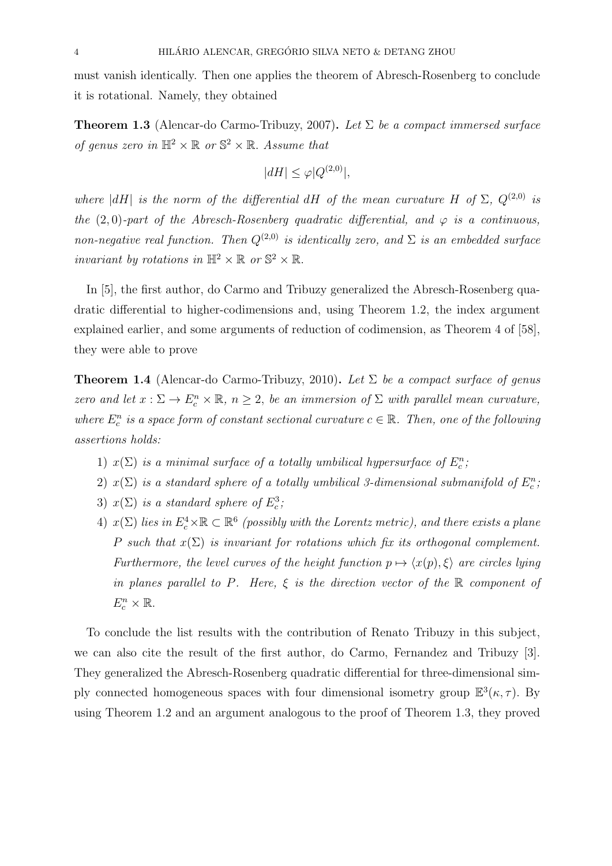must vanish identically. Then one applies the theorem of Abresch-Rosenberg to conclude it is rotational. Namely, they obtained

**Theorem 1.3** (Alencar-do Carmo-Tribuzy, 2007). Let  $\Sigma$  be a compact immersed surface of genus zero in  $\mathbb{H}^2 \times \mathbb{R}$  or  $\mathbb{S}^2 \times \mathbb{R}$ . Assume that

$$
|dH| \le \varphi |Q^{(2,0)}|,
$$

where  $|dH|$  is the norm of the differential dH of the mean curvature H of  $\Sigma$ ,  $Q^{(2,0)}$  is the (2,0)-part of the Abresch-Rosenberg quadratic differential, and  $\varphi$  is a continuous, non-negative real function. Then  $Q^{(2,0)}$  is identically zero, and  $\Sigma$  is an embedded surface invariant by rotations in  $\mathbb{H}^2 \times \mathbb{R}$  or  $\mathbb{S}^2 \times \mathbb{R}$ .

In [5], the first author, do Carmo and Tribuzy generalized the Abresch-Rosenberg quadratic differential to higher-codimensions and, using Theorem 1.2, the index argument explained earlier, and some arguments of reduction of codimension, as Theorem 4 of [58], they were able to prove

**Theorem 1.4** (Alencar-do Carmo-Tribuzy, 2010). Let  $\Sigma$  be a compact surface of genus zero and let  $x : \Sigma \to E_c^n \times \mathbb{R}, n \geq 2$ , be an immersion of  $\Sigma$  with parallel mean curvature, where  $E_c^n$  is a space form of constant sectional curvature  $c \in \mathbb{R}$ . Then, one of the following assertions holds:

- 1)  $x(\Sigma)$  is a minimal surface of a totally umbilical hypersurface of  $E_c^n$ ;
- 2)  $x(\Sigma)$  is a standard sphere of a totally umbilical 3-dimensional submanifold of  $E_c^n$ ;
- 3)  $x(\Sigma)$  is a standard sphere of  $E_c^3$ ;
- 4)  $x(\Sigma)$  lies in  $E_c^4 \times \mathbb{R} \subset \mathbb{R}^6$  (possibly with the Lorentz metric), and there exists a plane P such that  $x(\Sigma)$  is invariant for rotations which fix its orthogonal complement. Furthermore, the level curves of the height function  $p \mapsto \langle x(p), \xi \rangle$  are circles lying in planes parallel to P. Here,  $\xi$  is the direction vector of the  $\mathbb R$  component of  $E_c^n \times \mathbb{R}$ .

To conclude the list results with the contribution of Renato Tribuzy in this subject, we can also cite the result of the first author, do Carmo, Fernandez and Tribuzy [3]. They generalized the Abresch-Rosenberg quadratic differential for three-dimensional simply connected homogeneous spaces with four dimensional isometry group  $\mathbb{E}^{3}(\kappa, \tau)$ . By using Theorem 1.2 and an argument analogous to the proof of Theorem 1.3, they proved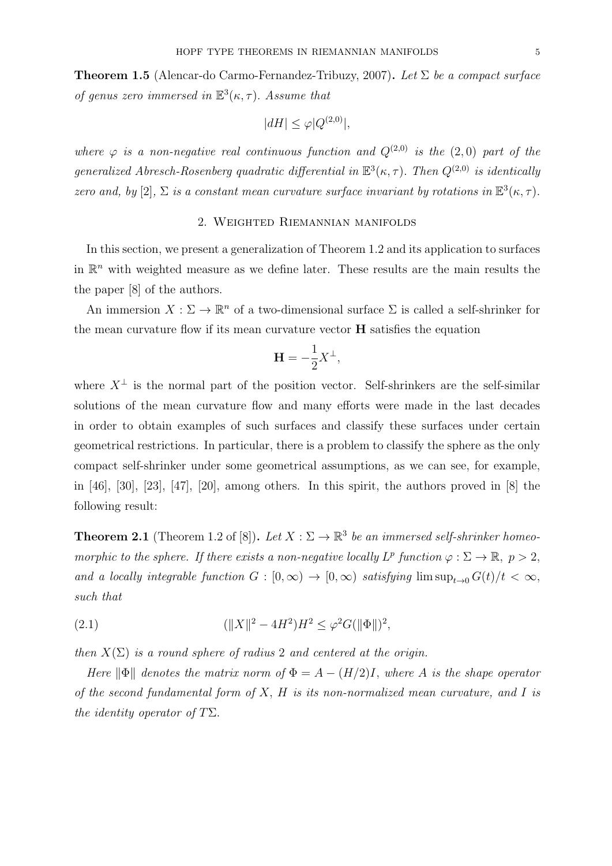**Theorem 1.5** (Alencar-do Carmo-Fernandez-Tribuzy, 2007). Let  $\Sigma$  be a compact surface of genus zero immersed in  $\mathbb{E}^{3}(\kappa, \tau)$ . Assume that

$$
|dH| \le \varphi |Q^{(2,0)}|,
$$

where  $\varphi$  is a non-negative real continuous function and  $Q^{(2,0)}$  is the  $(2,0)$  part of the generalized Abresch-Rosenberg quadratic differential in  $\mathbb{E}^{3}(\kappa,\tau)$ . Then  $Q^{(2,0)}$  is identically zero and, by [2],  $\Sigma$  is a constant mean curvature surface invariant by rotations in  $\mathbb{E}^3(\kappa, \tau)$ .

# 2. Weighted Riemannian manifolds

In this section, we present a generalization of Theorem 1.2 and its application to surfaces in  $\mathbb{R}^n$  with weighted measure as we define later. These results are the main results the the paper [8] of the authors.

An immersion  $X: \Sigma \to \mathbb{R}^n$  of a two-dimensional surface  $\Sigma$  is called a self-shrinker for the mean curvature flow if its mean curvature vector H satisfies the equation

$$
\mathbf{H} = -\frac{1}{2}X^{\perp},
$$

where  $X^{\perp}$  is the normal part of the position vector. Self-shrinkers are the self-similar solutions of the mean curvature flow and many efforts were made in the last decades in order to obtain examples of such surfaces and classify these surfaces under certain geometrical restrictions. In particular, there is a problem to classify the sphere as the only compact self-shrinker under some geometrical assumptions, as we can see, for example, in [46], [30], [23], [47], [20], among others. In this spirit, the authors proved in [8] the following result:

**Theorem 2.1** (Theorem 1.2 of [8]). Let  $X : \Sigma \to \mathbb{R}^3$  be an immersed self-shrinker homeomorphic to the sphere. If there exists a non-negative locally  $L^p$  function  $\varphi : \Sigma \to \mathbb{R}, p > 2$ , and a locally integrable function  $G : [0, \infty) \to [0, \infty)$  satisfying  $\limsup_{t\to 0} G(t)/t < \infty$ , such that

(2.1) 
$$
(\|X\|^2 - 4H^2)H^2 \le \varphi^2 G(\|\Phi\|)^2,
$$

then  $X(\Sigma)$  is a round sphere of radius 2 and centered at the origin.

Here  $\|\Phi\|$  denotes the matrix norm of  $\Phi = A - (H/2)I$ , where A is the shape operator of the second fundamental form of  $X$ ,  $H$  is its non-normalized mean curvature, and  $I$  is the identity operator of  $T\Sigma$ .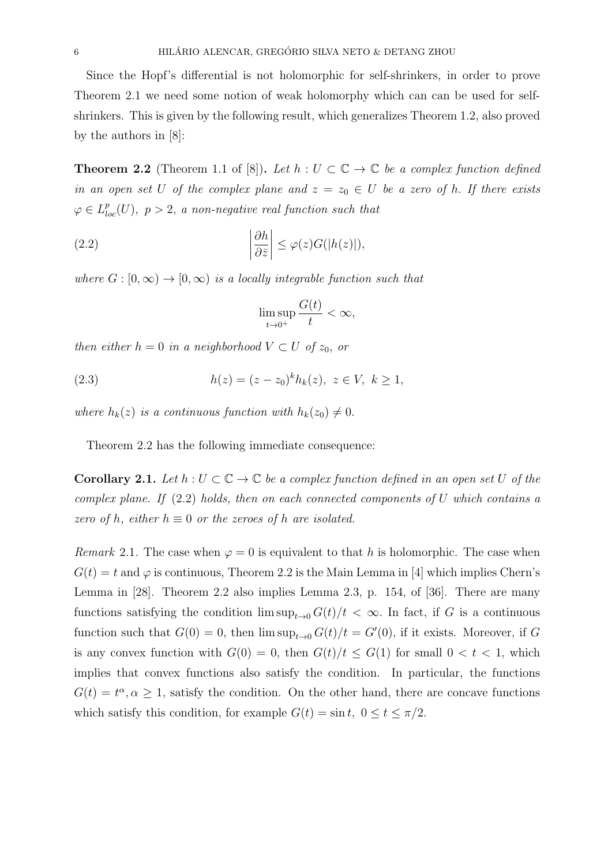Since the Hopf's differential is not holomorphic for self-shrinkers, in order to prove Theorem 2.1 we need some notion of weak holomorphy which can can be used for selfshrinkers. This is given by the following result, which generalizes Theorem 1.2, also proved by the authors in [8]:

**Theorem 2.2** (Theorem 1.1 of [8]). Let  $h: U \subset \mathbb{C} \to \mathbb{C}$  be a complex function defined in an open set U of the complex plane and  $z = z_0 \in U$  be a zero of h. If there exists  $\varphi \in L_{loc}^p(U)$ ,  $p > 2$ , a non-negative real function such that

(2.2) 
$$
\left|\frac{\partial h}{\partial \bar{z}}\right| \leq \varphi(z)G(|h(z)|),
$$

where  $G : [0, \infty) \to [0, \infty)$  is a locally integrable function such that

$$
\limsup_{t \to 0^+} \frac{G(t)}{t} < \infty,
$$

then either  $h = 0$  in a neighborhood  $V \subset U$  of  $z_0$ , or

(2.3) 
$$
h(z) = (z - z_0)^k h_k(z), \ z \in V, \ k \ge 1,
$$

where  $h_k(z)$  is a continuous function with  $h_k(z_0) \neq 0$ .

Theorem 2.2 has the following immediate consequence:

**Corollary 2.1.** Let  $h: U \subset \mathbb{C} \to \mathbb{C}$  be a complex function defined in an open set U of the complex plane. If  $(2.2)$  holds, then on each connected components of U which contains a zero of h, either  $h \equiv 0$  or the zeroes of h are isolated.

*Remark* 2.1. The case when  $\varphi = 0$  is equivalent to that h is holomorphic. The case when  $G(t) = t$  and  $\varphi$  is continuous, Theorem 2.2 is the Main Lemma in [4] which implies Chern's Lemma in [28]. Theorem 2.2 also implies Lemma 2.3, p. 154, of [36]. There are many functions satisfying the condition  $\limsup_{t\to 0} G(t)/t < \infty$ . In fact, if G is a continuous function such that  $G(0) = 0$ , then  $\limsup_{t\to 0} G(t)/t = G'(0)$ , if it exists. Moreover, if G is any convex function with  $G(0) = 0$ , then  $G(t)/t \leq G(1)$  for small  $0 < t < 1$ , which implies that convex functions also satisfy the condition. In particular, the functions  $G(t) = t^{\alpha}, \alpha \geq 1$ , satisfy the condition. On the other hand, there are concave functions which satisfy this condition, for example  $G(t) = \sin t$ ,  $0 \le t \le \pi/2$ .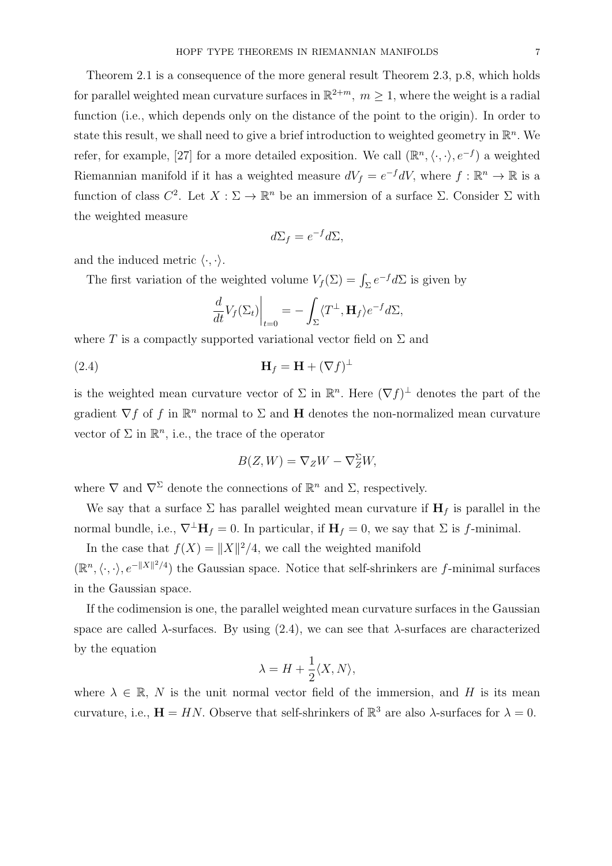Theorem 2.1 is a consequence of the more general result Theorem 2.3, p.8, which holds for parallel weighted mean curvature surfaces in  $\mathbb{R}^{2+m}$ ,  $m \geq 1$ , where the weight is a radial function (i.e., which depends only on the distance of the point to the origin). In order to state this result, we shall need to give a brief introduction to weighted geometry in  $\mathbb{R}^n$ . We refer, for example, [27] for a more detailed exposition. We call  $(\mathbb{R}^n, \langle \cdot, \cdot \rangle, e^{-f})$  a weighted Riemannian manifold if it has a weighted measure  $dV_f = e^{-f} dV$ , where  $f : \mathbb{R}^n \to \mathbb{R}$  is a function of class  $C^2$ . Let  $X : \Sigma \to \mathbb{R}^n$  be an immersion of a surface  $\Sigma$ . Consider  $\Sigma$  with the weighted measure

$$
d\Sigma_f = e^{-f}d\Sigma,
$$

and the induced metric  $\langle \cdot, \cdot \rangle$ .

The first variation of the weighted volume  $V_f(\Sigma) = \int_{\Sigma} e^{-f} d\Sigma$  is given by

$$
\frac{d}{dt}V_f(\Sigma_t)\Big|_{t=0} = -\int_{\Sigma} \langle T^{\perp}, \mathbf{H}_f \rangle e^{-f} d\Sigma,
$$

where T is a compactly supported variational vector field on  $\Sigma$  and

$$
\mathbf{H}_f = \mathbf{H} + (\nabla f)^{\perp}
$$

is the weighted mean curvature vector of  $\Sigma$  in  $\mathbb{R}^n$ . Here  $(\nabla f)^{\perp}$  denotes the part of the gradient  $\nabla f$  of f in  $\mathbb{R}^n$  normal to  $\Sigma$  and **H** denotes the non-normalized mean curvature vector of  $\Sigma$  in  $\mathbb{R}^n$ , i.e., the trace of the operator

$$
B(Z, W) = \nabla_Z W - \nabla_Z^{\Sigma} W,
$$

where  $\nabla$  and  $\nabla^{\Sigma}$  denote the connections of  $\mathbb{R}^{n}$  and  $\Sigma$ , respectively.

We say that a surface  $\Sigma$  has parallel weighted mean curvature if  $H_f$  is parallel in the normal bundle, i.e.,  $\nabla^{\perp} \mathbf{H}_f = 0$ . In particular, if  $\mathbf{H}_f = 0$ , we say that  $\Sigma$  is f-minimal.

In the case that  $f(X) = ||X||^2/4$ , we call the weighted manifold  $(\mathbb{R}^n, \langle \cdot, \cdot \rangle, e^{-\|X\|^2/4})$  the Gaussian space. Notice that self-shrinkers are f-minimal surfaces in the Gaussian space.

If the codimension is one, the parallel weighted mean curvature surfaces in the Gaussian space are called  $\lambda$ -surfaces. By using (2.4), we can see that  $\lambda$ -surfaces are characterized by the equation

$$
\lambda = H + \frac{1}{2} \langle X, N \rangle,
$$

where  $\lambda \in \mathbb{R}$ , N is the unit normal vector field of the immersion, and H is its mean curvature, i.e.,  $\mathbf{H} = HN$ . Observe that self-shrinkers of  $\mathbb{R}^3$  are also  $\lambda$ -surfaces for  $\lambda = 0$ .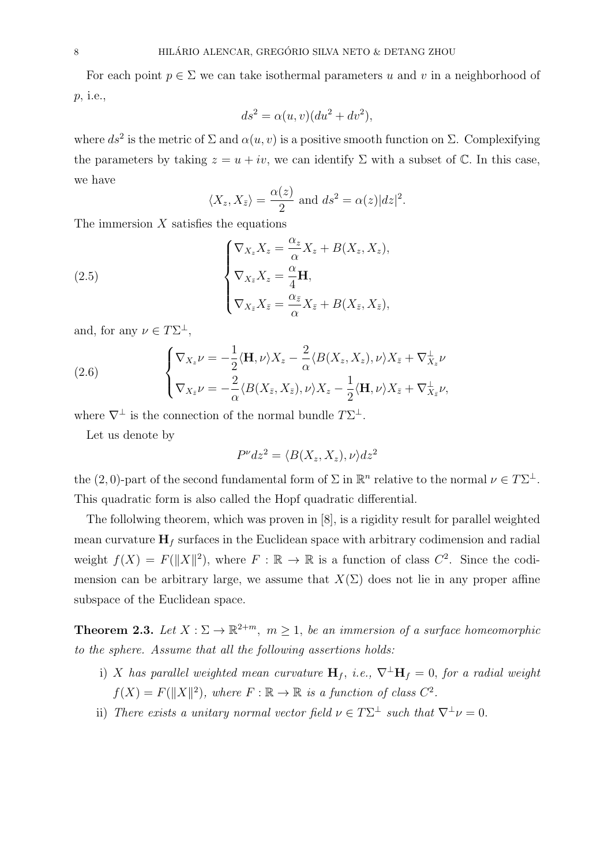For each point  $p \in \Sigma$  we can take isothermal parameters u and v in a neighborhood of p, i.e.,

$$
ds^2 = \alpha(u, v)(du^2 + dv^2),
$$

where  $ds^2$  is the metric of  $\Sigma$  and  $\alpha(u, v)$  is a positive smooth function on  $\Sigma$ . Complexifying the parameters by taking  $z = u + iv$ , we can identify  $\Sigma$  with a subset of  $\mathbb{C}$ . In this case, we have

$$
\langle X_z, X_{\bar{z}} \rangle = \frac{\alpha(z)}{2}
$$
 and  $ds^2 = \alpha(z)|dz|^2$ .

The immersion  $X$  satisfies the equations

(2.5)  

$$
\begin{cases}\n\nabla_{X_z} X_z = \frac{\alpha_z}{\alpha} X_z + B(X_z, X_z), \\
\nabla_{X_{\bar{z}}} X_z = \frac{\alpha}{4} \mathbf{H}, \\
\nabla_{X_{\bar{z}}} X_{\bar{z}} = \frac{\alpha_{\bar{z}}}{\alpha} X_{\bar{z}} + B(X_{\bar{z}}, X_{\bar{z}}),\n\end{cases}
$$

and, for any  $\nu \in T\Sigma^{\perp}$ ,

(2.6) 
$$
\begin{cases} \nabla_{X_z} \nu = -\frac{1}{2} \langle \mathbf{H}, \nu \rangle X_z - \frac{2}{\alpha} \langle B(X_z, X_z), \nu \rangle X_{\bar{z}} + \nabla_{X_z}^{\perp} \nu \\ \nabla_{X_{\bar{z}}} \nu = -\frac{2}{\alpha} \langle B(X_{\bar{z}}, X_{\bar{z}}), \nu \rangle X_z - \frac{1}{2} \langle \mathbf{H}, \nu \rangle X_{\bar{z}} + \nabla_{X_{\bar{z}}}^{\perp} \nu, \end{cases}
$$

where  $\nabla^{\perp}$  is the connection of the normal bundle  $T\Sigma^{\perp}$ .

Let us denote by

$$
P^{\nu}dz^{2} = \langle B(X_{z}, X_{z}), \nu \rangle dz^{2}
$$

the (2,0)-part of the second fundamental form of  $\Sigma$  in  $\mathbb{R}^n$  relative to the normal  $\nu \in T\Sigma^{\perp}$ . This quadratic form is also called the Hopf quadratic differential.

The follolwing theorem, which was proven in [8], is a rigidity result for parallel weighted mean curvature  $H_f$  surfaces in the Euclidean space with arbitrary codimension and radial weight  $f(X) = F(||X||^2)$ , where  $F : \mathbb{R} \to \mathbb{R}$  is a function of class  $C^2$ . Since the codimension can be arbitrary large, we assume that  $X(\Sigma)$  does not lie in any proper affine subspace of the Euclidean space.

**Theorem 2.3.** Let  $X : \Sigma \to \mathbb{R}^{2+m}$ ,  $m \geq 1$ , be an immersion of a surface homeomorphic to the sphere. Assume that all the following assertions holds:

- i) X has parallel weighted mean curvature  $H_f$ , i.e.,  $\nabla^{\perp}H_f = 0$ , for a radial weight  $f(X) = F(||X||^2)$ , where  $F : \mathbb{R} \to \mathbb{R}$  is a function of class  $C^2$ .
- ii) There exists a unitary normal vector field  $\nu \in T\Sigma^{\perp}$  such that  $\nabla^{\perp} \nu = 0$ .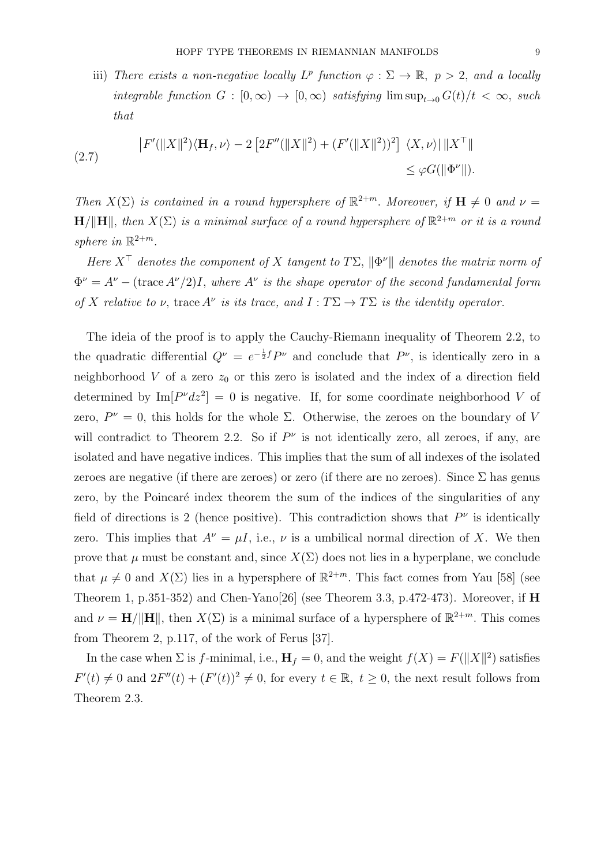iii) There exists a non-negative locally  $L^p$  function  $\varphi : \Sigma \to \mathbb{R}, p > 2$ , and a locally integrable function  $G : [0, \infty) \to [0, \infty)$  satisfying  $\limsup_{t\to 0} G(t)/t < \infty$ , such that

(2.7) 
$$
\left| F'(\|X\|^2) \langle \mathbf{H}_f, \nu \rangle - 2 \left[ 2F''(\|X\|^2) + (F'(\|X\|^2))^2 \right] \langle X, \nu \rangle \right| \|X^\top\|
$$

$$
\leq \varphi G(\|\Phi^\nu\|).
$$

Then  $X(\Sigma)$  is contained in a round hypersphere of  $\mathbb{R}^{2+m}$ . Moreover, if  $\mathbf{H} \neq 0$  and  $\nu =$  $\mathbf{H}/\|\mathbf{H}\|$ , then  $X(\Sigma)$  is a minimal surface of a round hypersphere of  $\mathbb{R}^{2+m}$  or it is a round sphere in  $\mathbb{R}^{2+m}$ .

Here  $X^{\top}$  denotes the component of X tangent to  $T\Sigma$ ,  $\|\Phi^{\nu}\|$  denotes the matrix norm of  $\Phi^{\nu} = A^{\nu} - (\text{trace } A^{\nu}/2)I$ , where  $A^{\nu}$  is the shape operator of the second fundamental form of X relative to  $\nu$ , trace  $A^{\nu}$  is its trace, and  $I: T\Sigma \to T\Sigma$  is the identity operator.

The ideia of the proof is to apply the Cauchy-Riemann inequality of Theorem 2.2, to the quadratic differential  $Q^{\nu} = e^{-\frac{1}{2}f}P^{\nu}$  and conclude that  $P^{\nu}$ , is identically zero in a neighborhood V of a zero  $z_0$  or this zero is isolated and the index of a direction field determined by  $\text{Im}[P^{\nu}dz^2] = 0$  is negative. If, for some coordinate neighborhood V of zero,  $P^{\nu} = 0$ , this holds for the whole  $\Sigma$ . Otherwise, the zeroes on the boundary of V will contradict to Theorem 2.2. So if  $P^{\nu}$  is not identically zero, all zeroes, if any, are isolated and have negative indices. This implies that the sum of all indexes of the isolated zeroes are negative (if there are zeroes) or zero (if there are no zeroes). Since  $\Sigma$  has genus zero, by the Poincaré index theorem the sum of the indices of the singularities of any field of directions is 2 (hence positive). This contradiction shows that  $P^{\nu}$  is identically zero. This implies that  $A^{\nu} = \mu I$ , i.e.,  $\nu$  is a umbilical normal direction of X. We then prove that  $\mu$  must be constant and, since  $X(\Sigma)$  does not lies in a hyperplane, we conclude that  $\mu \neq 0$  and  $X(\Sigma)$  lies in a hypersphere of  $\mathbb{R}^{2+m}$ . This fact comes from Yau [58] (see Theorem 1, p.351-352) and Chen-Yano<sup>[26]</sup> (see Theorem 3.3, p.472-473). Moreover, if H and  $\nu = H/||H||$ , then  $X(\Sigma)$  is a minimal surface of a hypersphere of  $\mathbb{R}^{2+m}$ . This comes from Theorem 2, p.117, of the work of Ferus [37].

In the case when  $\Sigma$  is f-minimal, i.e.,  $\mathbf{H}_f = 0$ , and the weight  $f(X) = F(||X||^2)$  satisfies  $F'(t) \neq 0$  and  $2F''(t) + (F'(t))^2 \neq 0$ , for every  $t \in \mathbb{R}, t \geq 0$ , the next result follows from Theorem 2.3.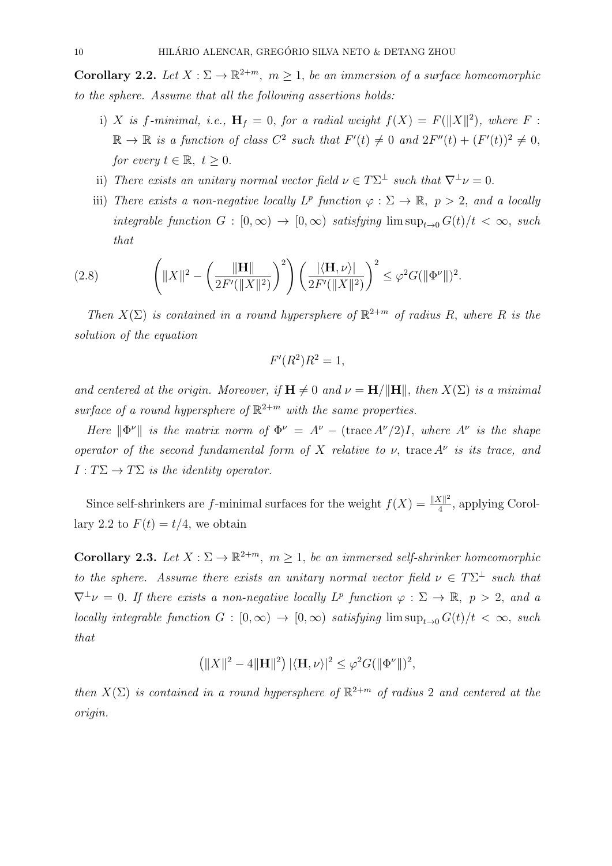**Corollary 2.2.** Let  $X : \Sigma \to \mathbb{R}^{2+m}$ ,  $m \geq 1$ , be an immersion of a surface homeomorphic to the sphere. Assume that all the following assertions holds:

- i) X is f-minimal, i.e.,  $\mathbf{H}_f = 0$ , for a radial weight  $f(X) = F(||X||^2)$ , where F:  $\mathbb{R} \to \mathbb{R}$  is a function of class  $C^2$  such that  $F'(t) \neq 0$  and  $2F''(t) + (F'(t))^2 \neq 0$ , for every  $t \in \mathbb{R}, t \geq 0$ .
- ii) There exists an unitary normal vector field  $\nu \in T\Sigma^{\perp}$  such that  $\nabla^{\perp} \nu = 0$ .
- iii) There exists a non-negative locally  $L^p$  function  $\varphi : \Sigma \to \mathbb{R}, p > 2$ , and a locally integrable function  $G : [0, \infty) \to [0, \infty)$  satisfying  $\limsup_{t\to 0} G(t)/t < \infty$ , such that

(2.8) 
$$
\left( \|X\|^2 - \left(\frac{\|\mathbf{H}\|}{2F'(\|X\|^2)}\right)^2 \right) \left(\frac{|\langle \mathbf{H}, \nu \rangle|}{2F'(\|X\|^2)}\right)^2 \leq \varphi^2 G(\|\Phi^{\nu}\|)^2.
$$

Then  $X(\Sigma)$  is contained in a round hypersphere of  $\mathbb{R}^{2+m}$  of radius R, where R is the solution of the equation

$$
F'(R^2)R^2 = 1,
$$

and centered at the origin. Moreover, if  $\mathbf{H} \neq 0$  and  $\nu = \mathbf{H}/\|\mathbf{H}\|$ , then  $X(\Sigma)$  is a minimal surface of a round hypersphere of  $\mathbb{R}^{2+m}$  with the same properties.

Here  $\|\Phi^{\nu}\|$  is the matrix norm of  $\Phi^{\nu} = A^{\nu} - (\text{trace } A^{\nu}/2)I$ , where  $A^{\nu}$  is the shape operator of the second fundamental form of X relative to  $\nu$ , trace  $A^{\nu}$  is its trace, and  $I: T\Sigma \to T\Sigma$  is the identity operator.

Since self-shrinkers are f-minimal surfaces for the weight  $f(X) = \frac{||X||^2}{4}$  $\frac{X\parallel^2}{4}$ , applying Corollary 2.2 to  $F(t) = t/4$ , we obtain

**Corollary 2.3.** Let  $X : \Sigma \to \mathbb{R}^{2+m}$ ,  $m \geq 1$ , be an immersed self-shrinker homeomorphic to the sphere. Assume there exists an unitary normal vector field  $\nu \in T\Sigma^{\perp}$  such that  $\nabla^{\perp} \nu = 0$ . If there exists a non-negative locally  $L^p$  function  $\varphi : \Sigma \to \mathbb{R}, p > 2$ , and a locally integrable function  $G : [0, \infty) \to [0, \infty)$  satisfying  $\limsup_{t\to 0} G(t)/t < \infty$ , such that

$$
\left(\|X\|^2 - 4\|\mathbf{H}\|^2\right) |\langle \mathbf{H}, \nu \rangle|^2 \leq \varphi^2 G(\|\Phi^\nu\|)^2,
$$

then  $X(\Sigma)$  is contained in a round hypersphere of  $\mathbb{R}^{2+m}$  of radius 2 and centered at the origin.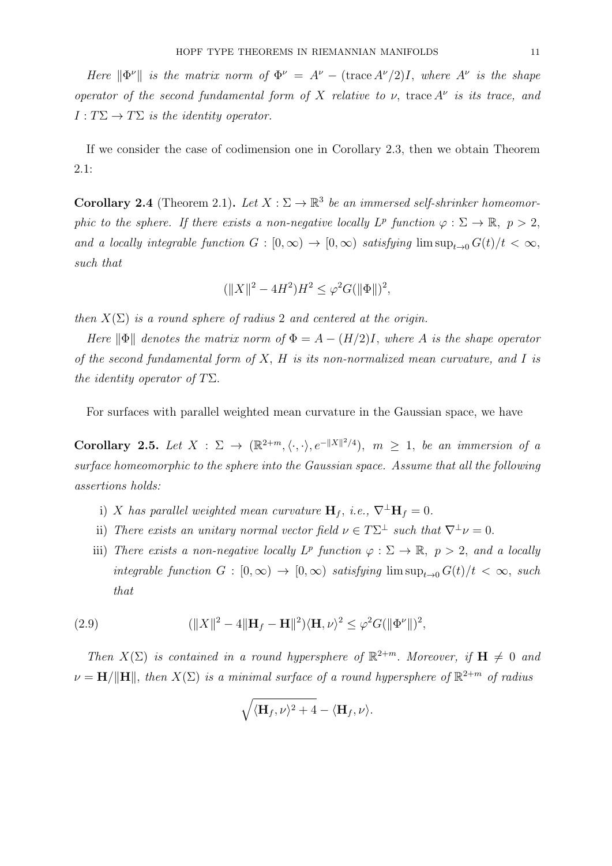Here  $\|\Phi^{\nu}\|$  is the matrix norm of  $\Phi^{\nu} = A^{\nu} - (\text{trace } A^{\nu}/2)I$ , where  $A^{\nu}$  is the shape operator of the second fundamental form of X relative to  $\nu$ , trace  $A^{\nu}$  is its trace, and  $I: T\Sigma \to T\Sigma$  is the identity operator.

If we consider the case of codimension one in Corollary 2.3, then we obtain Theorem 2.1:

**Corollary 2.4** (Theorem 2.1). Let  $X : \Sigma \to \mathbb{R}^3$  be an immersed self-shrinker homeomorphic to the sphere. If there exists a non-negative locally  $L^p$  function  $\varphi : \Sigma \to \mathbb{R}, p > 2$ , and a locally integrable function  $G : [0, \infty) \to [0, \infty)$  satisfying  $\limsup_{t\to 0} G(t)/t < \infty$ , such that

$$
(\|X\|^2 - 4H^2)H^2 \le \varphi^2 G(\|\Phi\|)^2,
$$

then  $X(\Sigma)$  is a round sphere of radius 2 and centered at the origin.

Here  $\|\Phi\|$  denotes the matrix norm of  $\Phi = A - (H/2)I$ , where A is the shape operator of the second fundamental form of  $X$ ,  $H$  is its non-normalized mean curvature, and  $I$  is the identity operator of  $T\Sigma$ .

For surfaces with parallel weighted mean curvature in the Gaussian space, we have

Corollary 2.5. Let  $X : \Sigma \to (\mathbb{R}^{2+m}, \langle \cdot, \cdot \rangle, e^{-\|X\|^2/4}), m \geq 1$ , be an immersion of a surface homeomorphic to the sphere into the Gaussian space. Assume that all the following assertions holds:

- i) X has parallel weighted mean curvature  $\mathbf{H}_f$ , i.e.,  $\nabla^{\perp} \mathbf{H}_f = 0$ .
- ii) There exists an unitary normal vector field  $\nu \in T\Sigma^{\perp}$  such that  $\nabla^{\perp} \nu = 0$ .
- iii) There exists a non-negative locally  $L^p$  function  $\varphi : \Sigma \to \mathbb{R}, p > 2$ , and a locally integrable function  $G : [0, \infty) \to [0, \infty)$  satisfying  $\limsup_{t\to 0} G(t)/t < \infty$ , such that

(2.9) 
$$
(\|X\|^2 - 4\|\mathbf{H}_f - \mathbf{H}\|^2)\langle\mathbf{H}, \nu\rangle^2 \leq \varphi^2 G(\|\Phi^{\nu}\|)^2,
$$

Then  $X(\Sigma)$  is contained in a round hypersphere of  $\mathbb{R}^{2+m}$ . Moreover, if  $\mathbf{H} \neq 0$  and  $\nu = \mathbf{H}/\|\mathbf{H}\|$ , then  $X(\Sigma)$  is a minimal surface of a round hypersphere of  $\mathbb{R}^{2+m}$  of radius

$$
\sqrt{\langle \mathbf{H}_f, \nu \rangle^2 + 4} - \langle \mathbf{H}_f, \nu \rangle.
$$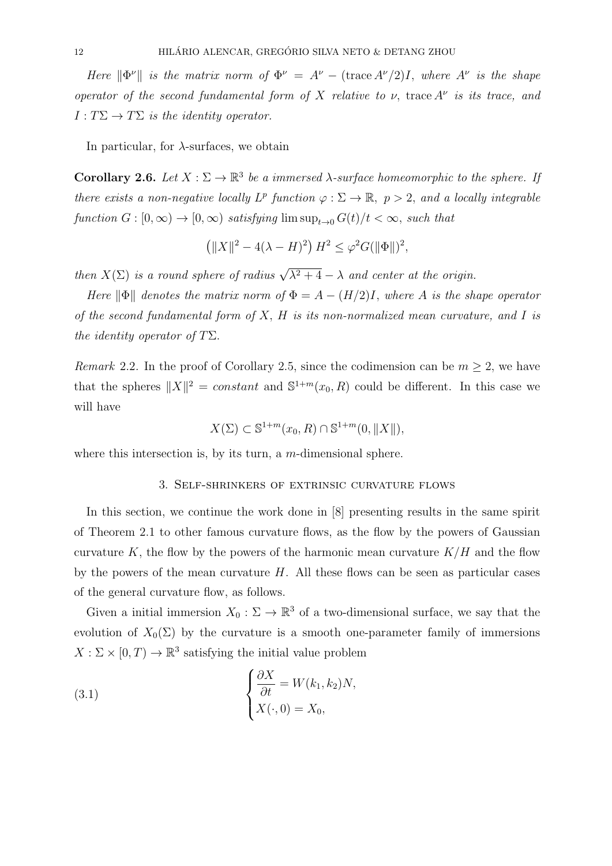Here  $\|\Phi^{\nu}\|$  is the matrix norm of  $\Phi^{\nu} = A^{\nu} - (\text{trace } A^{\nu}/2)I$ , where  $A^{\nu}$  is the shape operator of the second fundamental form of X relative to  $\nu$ , trace  $A^{\nu}$  is its trace, and  $I: T\Sigma \to T\Sigma$  is the identity operator.

In particular, for  $\lambda$ -surfaces, we obtain

Corollary 2.6. Let  $X : \Sigma \to \mathbb{R}^3$  be a immersed  $\lambda$ -surface homeomorphic to the sphere. If there exists a non-negative locally  $L^p$  function  $\varphi : \Sigma \to \mathbb{R}$ ,  $p > 2$ , and a locally integrable function  $G : [0, \infty) \to [0, \infty)$  satisfying  $\limsup_{t \to 0} G(t)/t < \infty$ , such that

$$
(||X||^2 - 4(\lambda - H)^2) H^2 \le \varphi^2 G(||\Phi||)^2,
$$

then  $X(\Sigma)$  is a round sphere of radius  $\sqrt{\lambda^2 + 4} - \lambda$  and center at the origin.

Here  $\|\Phi\|$  denotes the matrix norm of  $\Phi = A - (H/2)I$ , where A is the shape operator of the second fundamental form of  $X$ ,  $H$  is its non-normalized mean curvature, and  $I$  is the identity operator of  $T\Sigma$ .

Remark 2.2. In the proof of Corollary 2.5, since the codimension can be  $m \geq 2$ , we have that the spheres  $||X||^2 = constant$  and  $S^{1+m}(x_0, R)$  could be different. In this case we will have

$$
X(\Sigma) \subset \mathbb{S}^{1+m}(x_0, R) \cap \mathbb{S}^{1+m}(0, \|X\|),
$$

where this intersection is, by its turn, a  $m$ -dimensional sphere.

### 3. Self-shrinkers of extrinsic curvature flows

In this section, we continue the work done in [8] presenting results in the same spirit of Theorem 2.1 to other famous curvature flows, as the flow by the powers of Gaussian curvature K, the flow by the powers of the harmonic mean curvature  $K/H$  and the flow by the powers of the mean curvature  $H$ . All these flows can be seen as particular cases of the general curvature flow, as follows.

Given a initial immersion  $X_0 : \Sigma \to \mathbb{R}^3$  of a two-dimensional surface, we say that the evolution of  $X_0(\Sigma)$  by the curvature is a smooth one-parameter family of immersions  $X : \Sigma \times [0, T) \to \mathbb{R}^3$  satisfying the initial value problem

(3.1) 
$$
\begin{cases} \frac{\partial X}{\partial t} = W(k_1, k_2)N, \\ X(\cdot, 0) = X_0, \end{cases}
$$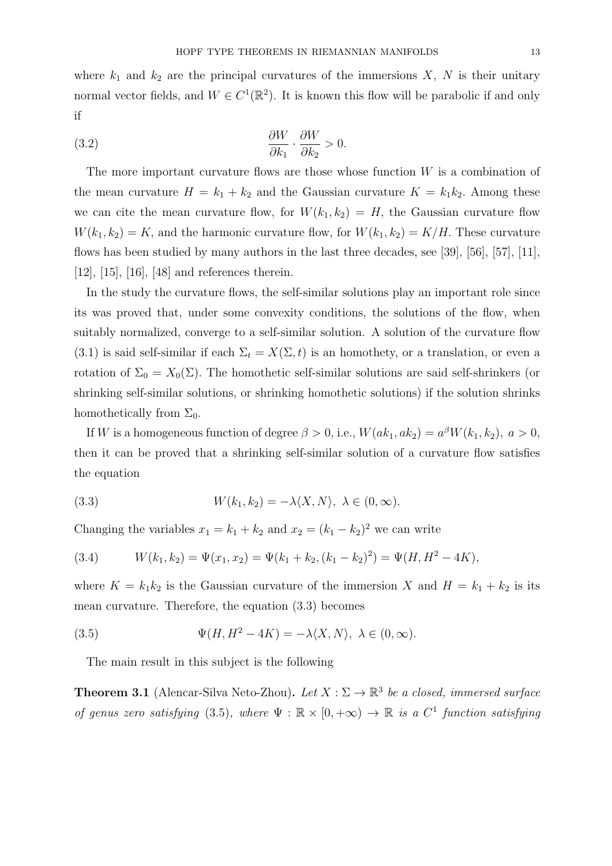where  $k_1$  and  $k_2$  are the principal curvatures of the immersions X, N is their unitary normal vector fields, and  $W \in C^1(\mathbb{R}^2)$ . It is known this flow will be parabolic if and only if

(3.2) 
$$
\frac{\partial W}{\partial k_1} \cdot \frac{\partial W}{\partial k_2} > 0.
$$

The more important curvature flows are those whose function  $W$  is a combination of the mean curvature  $H = k_1 + k_2$  and the Gaussian curvature  $K = k_1 k_2$ . Among these we can cite the mean curvature flow, for  $W(k_1, k_2) = H$ , the Gaussian curvature flow  $W(k_1, k_2) = K$ , and the harmonic curvature flow, for  $W(k_1, k_2) = K/H$ . These curvature flows has been studied by many authors in the last three decades, see [39], [56], [57], [11], [12], [15], [16], [48] and references therein.

In the study the curvature flows, the self-similar solutions play an important role since its was proved that, under some convexity conditions, the solutions of the flow, when suitably normalized, converge to a self-similar solution. A solution of the curvature flow (3.1) is said self-similar if each  $\Sigma_t = X(\Sigma, t)$  is an homothety, or a translation, or even a rotation of  $\Sigma_0 = X_0(\Sigma)$ . The homothetic self-similar solutions are said self-shrinkers (or shrinking self-similar solutions, or shrinking homothetic solutions) if the solution shrinks homothetically from  $\Sigma_0$ .

If W is a homogeneous function of degree  $\beta > 0$ , i.e.,  $W(ak_1, ak_2) = a^{\beta}W(k_1, k_2), a > 0$ , then it can be proved that a shrinking self-similar solution of a curvature flow satisfies the equation

(3.3) 
$$
W(k_1, k_2) = -\lambda \langle X, N \rangle, \ \lambda \in (0, \infty).
$$

Changing the variables  $x_1 = k_1 + k_2$  and  $x_2 = (k_1 - k_2)^2$  we can write

(3.4) 
$$
W(k_1, k_2) = \Psi(x_1, x_2) = \Psi(k_1 + k_2, (k_1 - k_2)^2) = \Psi(H, H^2 - 4K),
$$

where  $K = k_1 k_2$  is the Gaussian curvature of the immersion X and  $H = k_1 + k_2$  is its mean curvature. Therefore, the equation (3.3) becomes

(3.5) 
$$
\Psi(H, H^2 - 4K) = -\lambda \langle X, N \rangle, \ \lambda \in (0, \infty).
$$

The main result in this subject is the following

**Theorem 3.1** (Alencar-Silva Neto-Zhou). Let  $X : \Sigma \to \mathbb{R}^3$  be a closed, immersed surface of genus zero satisfying (3.5), where  $\Psi : \mathbb{R} \times [0, +\infty) \to \mathbb{R}$  is a  $C^1$  function satisfying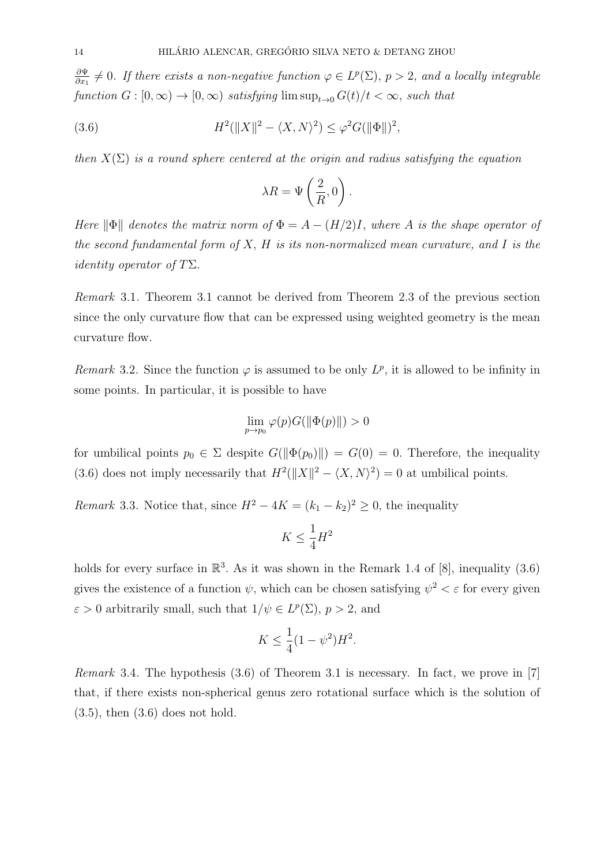∂Ψ  $\frac{\partial \Psi}{\partial x_1} \neq 0$ . If there exists a non-negative function  $\varphi \in L^p(\Sigma)$ ,  $p > 2$ , and a locally integrable function  $G : [0, \infty) \to [0, \infty)$  satisfying  $\limsup_{t\to 0} G(t)/t < \infty$ , such that

(3.6) 
$$
H^{2}(\|X\|^{2} - \langle X, N\rangle^{2}) \leq \varphi^{2}G(\|\Phi\|)^{2},
$$

then  $X(\Sigma)$  is a round sphere centered at the origin and radius satisfying the equation

$$
\lambda R = \Psi\left(\frac{2}{R}, 0\right).
$$

Here  $\|\Phi\|$  denotes the matrix norm of  $\Phi = A - (H/2)I$ , where A is the shape operator of the second fundamental form of  $X$ ,  $H$  is its non-normalized mean curvature, and  $I$  is the *identity operator of T* $\Sigma$ .

Remark 3.1. Theorem 3.1 cannot be derived from Theorem 2.3 of the previous section since the only curvature flow that can be expressed using weighted geometry is the mean curvature flow.

Remark 3.2. Since the function  $\varphi$  is assumed to be only  $L^p$ , it is allowed to be infinity in some points. In particular, it is possible to have

$$
\lim_{p \to p_0} \varphi(p) G(||\Phi(p)||) > 0
$$

for umbilical points  $p_0 \in \Sigma$  despite  $G(\|\Phi(p_0)\|) = G(0) = 0$ . Therefore, the inequality (3.6) does not imply necessarily that  $H^2(\|X\|^2 - \langle X, N \rangle^2) = 0$  at umbilical points.

*Remark* 3.3. Notice that, since  $H^2 - 4K = (k_1 - k_2)^2 \geq 0$ , the inequality

$$
K\leq \frac{1}{4}H^2
$$

holds for every surface in  $\mathbb{R}^3$ . As it was shown in the Remark 1.4 of [8], inequality (3.6) gives the existence of a function  $\psi$ , which can be chosen satisfying  $\psi^2 < \varepsilon$  for every given  $\varepsilon > 0$  arbitrarily small, such that  $1/\psi \in L^p(\Sigma)$ ,  $p > 2$ , and

$$
K \le \frac{1}{4}(1 - \psi^2)H^2.
$$

Remark 3.4. The hypothesis (3.6) of Theorem 3.1 is necessary. In fact, we prove in [7] that, if there exists non-spherical genus zero rotational surface which is the solution of  $(3.5)$ , then  $(3.6)$  does not hold.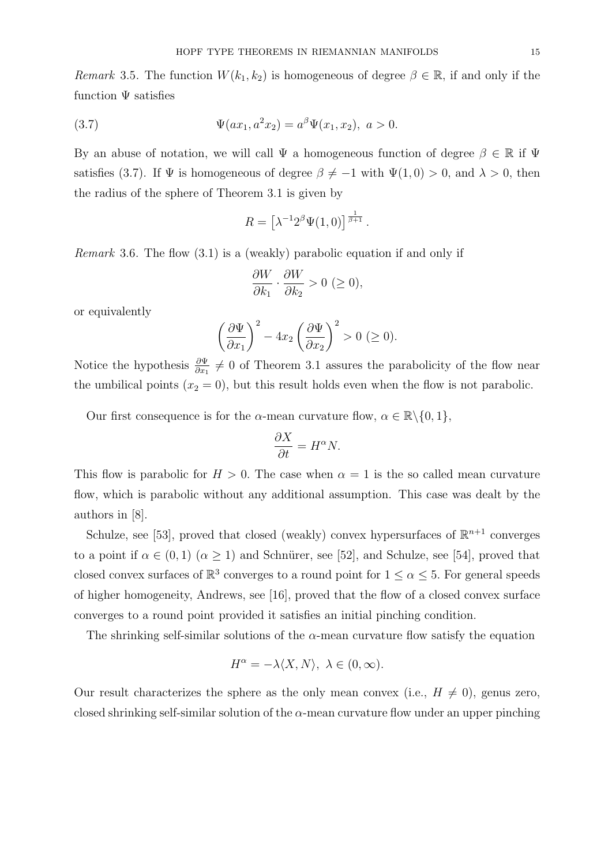Remark 3.5. The function  $W(k_1, k_2)$  is homogeneous of degree  $\beta \in \mathbb{R}$ , if and only if the function  $\Psi$  satisfies

(3.7) 
$$
\Psi(ax_1, a^2x_2) = a^{\beta}\Psi(x_1, x_2), \ a > 0.
$$

By an abuse of notation, we will call  $\Psi$  a homogeneous function of degree  $\beta \in \mathbb{R}$  if  $\Psi$ satisfies (3.7). If  $\Psi$  is homogeneous of degree  $\beta \neq -1$  with  $\Psi(1,0) > 0$ , and  $\lambda > 0$ , then the radius of the sphere of Theorem 3.1 is given by

$$
R = \left[\lambda^{-1}2^{\beta}\Psi(1,0)\right]^{\frac{1}{\beta+1}}.
$$

Remark 3.6. The flow (3.1) is a (weakly) parabolic equation if and only if

$$
\frac{\partial W}{\partial k_1} \cdot \frac{\partial W}{\partial k_2} > 0 \ (\ge 0),
$$

or equivalently

$$
\left(\frac{\partial \Psi}{\partial x_1}\right)^2 - 4x_2 \left(\frac{\partial \Psi}{\partial x_2}\right)^2 > 0 \ (\geq 0).
$$

Notice the hypothesis  $\frac{\partial \Psi}{\partial x_1} \neq 0$  of Theorem 3.1 assures the parabolicity of the flow near the umbilical points  $(x_2 = 0)$ , but this result holds even when the flow is not parabolic.

Our first consequence is for the  $\alpha$ -mean curvature flow,  $\alpha \in \mathbb{R} \setminus \{0, 1\}$ ,

$$
\frac{\partial X}{\partial t} = H^{\alpha} N.
$$

This flow is parabolic for  $H > 0$ . The case when  $\alpha = 1$  is the so called mean curvature flow, which is parabolic without any additional assumption. This case was dealt by the authors in [8].

Schulze, see [53], proved that closed (weakly) convex hypersurfaces of  $\mathbb{R}^{n+1}$  converges to a point if  $\alpha \in (0,1)$   $(\alpha \geq 1)$  and Schnürer, see [52], and Schulze, see [54], proved that closed convex surfaces of  $\mathbb{R}^3$  converges to a round point for  $1 \leq \alpha \leq 5$ . For general speeds of higher homogeneity, Andrews, see [16], proved that the flow of a closed convex surface converges to a round point provided it satisfies an initial pinching condition.

The shrinking self-similar solutions of the  $\alpha$ -mean curvature flow satisfy the equation

$$
H^{\alpha} = -\lambda \langle X, N \rangle, \ \lambda \in (0, \infty).
$$

Our result characterizes the sphere as the only mean convex (i.e.,  $H \neq 0$ ), genus zero, closed shrinking self-similar solution of the  $\alpha$ -mean curvature flow under an upper pinching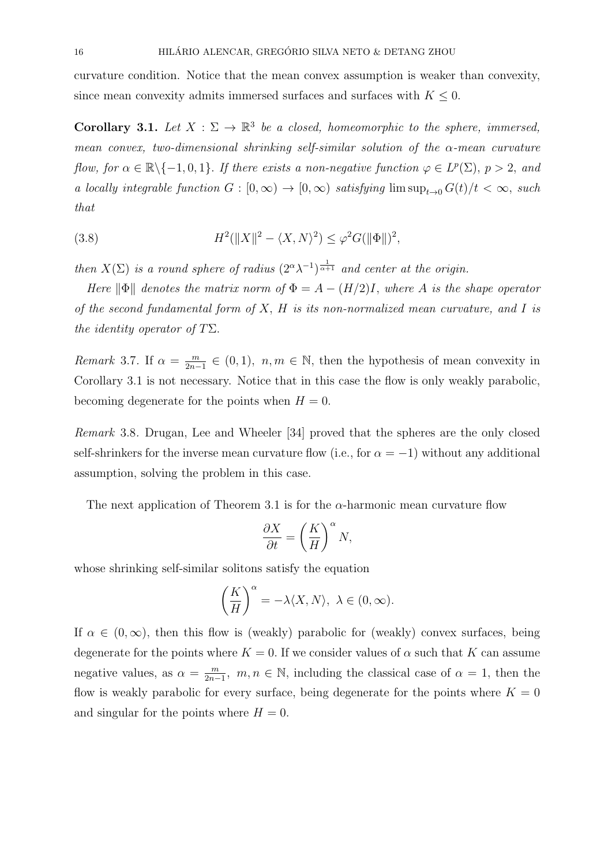curvature condition. Notice that the mean convex assumption is weaker than convexity, since mean convexity admits immersed surfaces and surfaces with  $K \leq 0$ .

**Corollary 3.1.** Let  $X : \Sigma \to \mathbb{R}^3$  be a closed, homeomorphic to the sphere, immersed, mean convex, two-dimensional shrinking self-similar solution of the  $\alpha$ -mean curvature flow, for  $\alpha \in \mathbb{R} \setminus \{-1, 0, 1\}$ . If there exists a non-negative function  $\varphi \in L^p(\Sigma)$ ,  $p > 2$ , and a locally integrable function  $G : [0, \infty) \to [0, \infty)$  satisfying  $\limsup_{t\to 0} G(t)/t < \infty$ , such that

(3.8) 
$$
H^{2}(\|X\|^{2} - \langle X, N\rangle^{2}) \leq \varphi^{2} G(\|\Phi\|)^{2},
$$

then  $X(\Sigma)$  is a round sphere of radius  $(2^{\alpha}\lambda^{-1})^{\frac{1}{\alpha+1}}$  and center at the origin.

Here  $\|\Phi\|$  denotes the matrix norm of  $\Phi = A - (H/2)I$ , where A is the shape operator of the second fundamental form of  $X$ ,  $H$  is its non-normalized mean curvature, and  $I$  is the identity operator of  $T\Sigma$ .

*Remark* 3.7. If  $\alpha = \frac{m}{2n}$  $\frac{m}{2n-1} \in (0,1)$ ,  $n,m \in \mathbb{N}$ , then the hypothesis of mean convexity in Corollary 3.1 is not necessary. Notice that in this case the flow is only weakly parabolic, becoming degenerate for the points when  $H = 0$ .

Remark 3.8. Drugan, Lee and Wheeler [34] proved that the spheres are the only closed self-shrinkers for the inverse mean curvature flow (i.e., for  $\alpha = -1$ ) without any additional assumption, solving the problem in this case.

The next application of Theorem 3.1 is for the  $\alpha$ -harmonic mean curvature flow

$$
\frac{\partial X}{\partial t} = \left(\frac{K}{H}\right)^{\alpha} N,
$$

whose shrinking self-similar solitons satisfy the equation

$$
\left(\frac{K}{H}\right)^{\alpha} = -\lambda \langle X, N \rangle, \ \lambda \in (0, \infty).
$$

If  $\alpha \in (0,\infty)$ , then this flow is (weakly) parabolic for (weakly) convex surfaces, being degenerate for the points where  $K = 0$ . If we consider values of  $\alpha$  such that K can assume negative values, as  $\alpha = \frac{m}{2n}$  $\frac{m}{2n-1}$ ,  $m, n \in \mathbb{N}$ , including the classical case of  $\alpha = 1$ , then the flow is weakly parabolic for every surface, being degenerate for the points where  $K = 0$ and singular for the points where  $H = 0$ .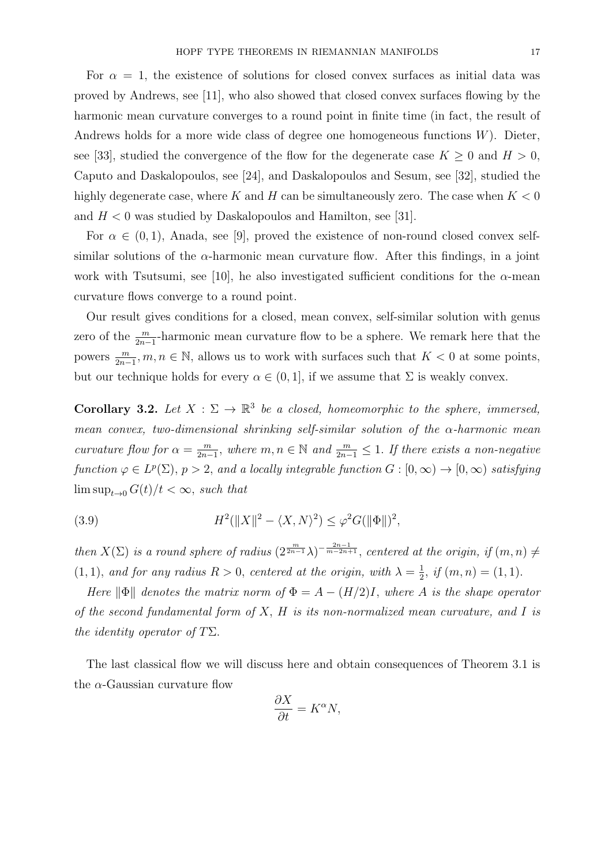For  $\alpha = 1$ , the existence of solutions for closed convex surfaces as initial data was proved by Andrews, see [11], who also showed that closed convex surfaces flowing by the harmonic mean curvature converges to a round point in finite time (in fact, the result of Andrews holds for a more wide class of degree one homogeneous functions  $W$ ). Dieter, see [33], studied the convergence of the flow for the degenerate case  $K \geq 0$  and  $H > 0$ , Caputo and Daskalopoulos, see [24], and Daskalopoulos and Sesum, see [32], studied the highly degenerate case, where K and H can be simultaneously zero. The case when  $K < 0$ and  $H < 0$  was studied by Daskalopoulos and Hamilton, see [31].

For  $\alpha \in (0,1)$ , Anada, see [9], proved the existence of non-round closed convex selfsimilar solutions of the  $\alpha$ -harmonic mean curvature flow. After this findings, in a joint work with Tsutsumi, see [10], he also investigated sufficient conditions for the  $\alpha$ -mean curvature flows converge to a round point.

Our result gives conditions for a closed, mean convex, self-similar solution with genus zero of the  $\frac{m}{2n-1}$ -harmonic mean curvature flow to be a sphere. We remark here that the powers  $\frac{m}{2n-1}, m, n \in \mathbb{N}$ , allows us to work with surfaces such that  $K < 0$  at some points, but our technique holds for every  $\alpha \in (0,1]$ , if we assume that  $\Sigma$  is weakly convex.

**Corollary 3.2.** Let  $X : \Sigma \to \mathbb{R}^3$  be a closed, homeomorphic to the sphere, immersed, mean convex, two-dimensional shrinking self-similar solution of the  $\alpha$ -harmonic mean curvature flow for  $\alpha = \frac{m}{2n}$  $\frac{m}{2n-1}$ , where  $m, n \in \mathbb{N}$  and  $\frac{m}{2n-1} \leq 1$ . If there exists a non-negative function  $\varphi \in L^p(\Sigma)$ ,  $p > 2$ , and a locally integrable function  $G : [0, \infty) \to [0, \infty)$  satisfying  $\limsup_{t\to 0} G(t)/t < \infty$ , such that

(3.9) 
$$
H^{2}(\|X\|^{2} - \langle X, N\rangle^{2}) \leq \varphi^{2} G(\|\Phi\|)^{2},
$$

then  $X(\Sigma)$  is a round sphere of radius  $(2^{\frac{m}{2n-1}}\lambda)^{-\frac{2n-1}{m-2n+1}}$ , centered at the origin, if  $(m, n) \neq$  $(1, 1)$ , and for any radius  $R > 0$ , centered at the origin, with  $\lambda = \frac{1}{2}$  $\frac{1}{2}$ , if  $(m, n) = (1, 1)$ .

Here  $\|\Phi\|$  denotes the matrix norm of  $\Phi = A - (H/2)I$ , where A is the shape operator of the second fundamental form of  $X$ ,  $H$  is its non-normalized mean curvature, and  $I$  is the identity operator of  $T\Sigma$ .

The last classical flow we will discuss here and obtain consequences of Theorem 3.1 is the  $\alpha$ -Gaussian curvature flow

$$
\frac{\partial X}{\partial t} = K^{\alpha} N,
$$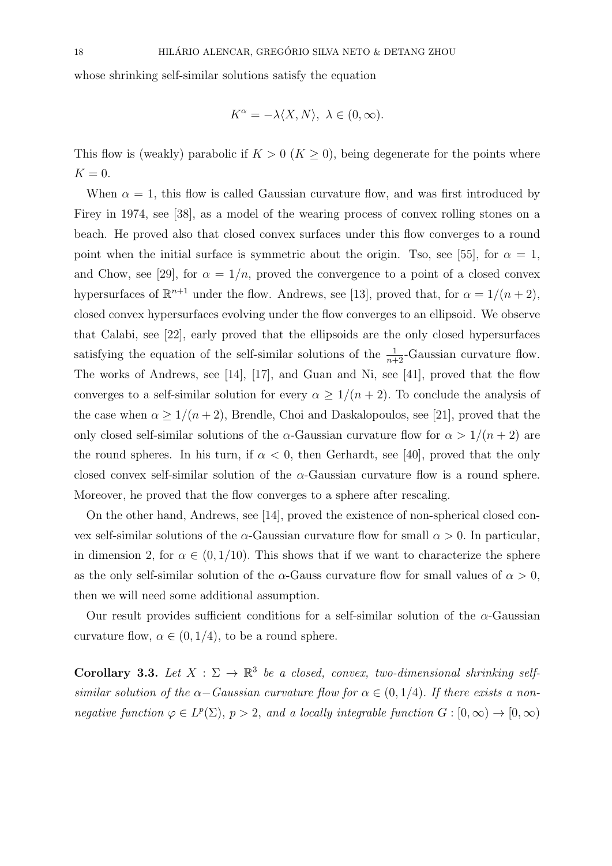whose shrinking self-similar solutions satisfy the equation

$$
K^{\alpha} = -\lambda \langle X, N \rangle, \ \lambda \in (0, \infty).
$$

This flow is (weakly) parabolic if  $K > 0$  ( $K \geq 0$ ), being degenerate for the points where  $K = 0.$ 

When  $\alpha = 1$ , this flow is called Gaussian curvature flow, and was first introduced by Firey in 1974, see [38], as a model of the wearing process of convex rolling stones on a beach. He proved also that closed convex surfaces under this flow converges to a round point when the initial surface is symmetric about the origin. Tso, see [55], for  $\alpha = 1$ , and Chow, see [29], for  $\alpha = 1/n$ , proved the convergence to a point of a closed convex hypersurfaces of  $\mathbb{R}^{n+1}$  under the flow. Andrews, see [13], proved that, for  $\alpha = 1/(n+2)$ , closed convex hypersurfaces evolving under the flow converges to an ellipsoid. We observe that Calabi, see [22], early proved that the ellipsoids are the only closed hypersurfaces satisfying the equation of the self-similar solutions of the  $\frac{1}{n+2}$ -Gaussian curvature flow. The works of Andrews, see [14], [17], and Guan and Ni, see [41], proved that the flow converges to a self-similar solution for every  $\alpha \geq 1/(n+2)$ . To conclude the analysis of the case when  $\alpha \geq 1/(n+2)$ , Brendle, Choi and Daskalopoulos, see [21], proved that the only closed self-similar solutions of the  $\alpha$ -Gaussian curvature flow for  $\alpha > 1/(n+2)$  are the round spheres. In his turn, if  $\alpha < 0$ , then Gerhardt, see [40], proved that the only closed convex self-similar solution of the  $\alpha$ -Gaussian curvature flow is a round sphere. Moreover, he proved that the flow converges to a sphere after rescaling.

On the other hand, Andrews, see [14], proved the existence of non-spherical closed convex self-similar solutions of the  $\alpha$ -Gaussian curvature flow for small  $\alpha > 0$ . In particular, in dimension 2, for  $\alpha \in (0, 1/10)$ . This shows that if we want to characterize the sphere as the only self-similar solution of the  $\alpha$ -Gauss curvature flow for small values of  $\alpha > 0$ , then we will need some additional assumption.

Our result provides sufficient conditions for a self-similar solution of the  $\alpha$ -Gaussian curvature flow,  $\alpha \in (0, 1/4)$ , to be a round sphere.

Corollary 3.3. Let  $X : \Sigma \to \mathbb{R}^3$  be a closed, convex, two-dimensional shrinking selfsimilar solution of the  $\alpha$ -Gaussian curvature flow for  $\alpha \in (0, 1/4)$ . If there exists a nonnegative function  $\varphi \in L^p(\Sigma)$ ,  $p > 2$ , and a locally integrable function  $G : [0, \infty) \to [0, \infty)$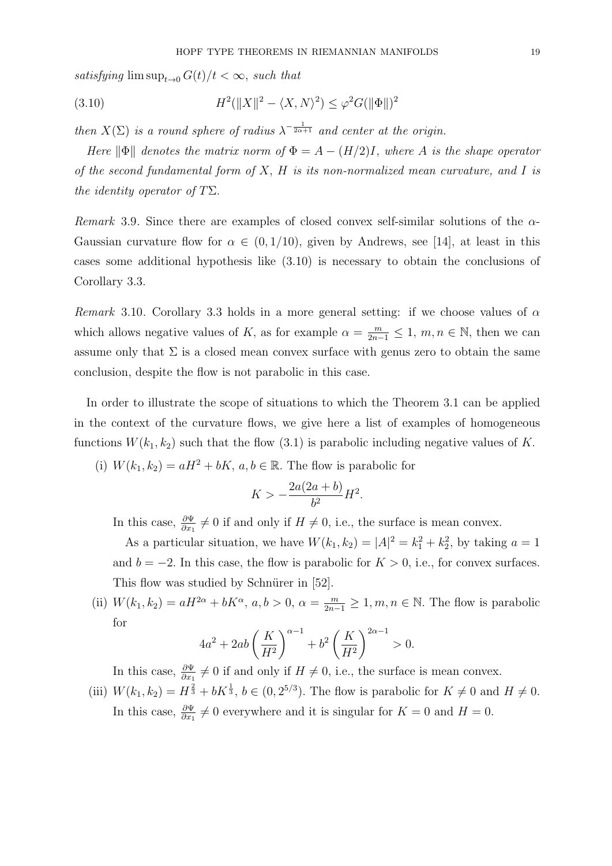satisfying  $\limsup_{t\to 0} G(t)/t < \infty$ , such that

(3.10) 
$$
H^{2}(\|X\|^{2} - \langle X, N\rangle^{2}) \leq \varphi^{2} G(\|\Phi\|)^{2}
$$

then  $X(\Sigma)$  is a round sphere of radius  $\lambda^{-\frac{1}{2\alpha+1}}$  and center at the origin.

Here  $\|\Phi\|$  denotes the matrix norm of  $\Phi = A - (H/2)I$ , where A is the shape operator of the second fundamental form of  $X$ ,  $H$  is its non-normalized mean curvature, and  $I$  is the identity operator of  $T\Sigma$ .

Remark 3.9. Since there are examples of closed convex self-similar solutions of the  $\alpha$ -Gaussian curvature flow for  $\alpha \in (0, 1/10)$ , given by Andrews, see [14], at least in this cases some additional hypothesis like (3.10) is necessary to obtain the conclusions of Corollary 3.3.

Remark 3.10. Corollary 3.3 holds in a more general setting: if we choose values of  $\alpha$ which allows negative values of K, as for example  $\alpha = \frac{m}{2n-1} \leq 1$ ,  $m, n \in \mathbb{N}$ , then we can assume only that  $\Sigma$  is a closed mean convex surface with genus zero to obtain the same conclusion, despite the flow is not parabolic in this case.

In order to illustrate the scope of situations to which the Theorem 3.1 can be applied in the context of the curvature flows, we give here a list of examples of homogeneous functions  $W(k_1, k_2)$  such that the flow (3.1) is parabolic including negative values of K.

(i)  $W(k_1, k_2) = aH^2 + bK$ ,  $a, b \in \mathbb{R}$ . The flow is parabolic for

$$
K > -\frac{2a(2a+b)}{b^2}H^2.
$$

In this case,  $\frac{\partial \Psi}{\partial x_1} \neq 0$  if and only if  $H \neq 0$ , i.e., the surface is mean convex.

As a particular situation, we have  $W(k_1, k_2) = |A|^2 = k_1^2 + k_2^2$ , by taking  $a = 1$ and  $b = -2$ . In this case, the flow is parabolic for  $K > 0$ , i.e., for convex surfaces. This flow was studied by Schnürer in [52].

(ii)  $W(k_1, k_2) = aH^{2\alpha} + bK^{\alpha}, a, b > 0, \alpha = \frac{m}{2n-1} \ge 1, m, n \in \mathbb{N}$ . The flow is parabolic for

$$
4a^2 + 2ab\left(\frac{K}{H^2}\right)^{\alpha - 1} + b^2\left(\frac{K}{H^2}\right)^{2\alpha - 1} > 0.
$$

In this case,  $\frac{\partial \Psi}{\partial x_1} \neq 0$  if and only if  $H \neq 0$ , i.e., the surface is mean convex.

(iii)  $W(k_1, k_2) = H^{\frac{2}{3}} + bK^{\frac{1}{3}}, b \in (0, 2^{5/3})$ . The flow is parabolic for  $K \neq 0$  and  $H \neq 0$ . In this case,  $\frac{\partial \Psi}{\partial x_1} \neq 0$  everywhere and it is singular for  $K = 0$  and  $H = 0$ .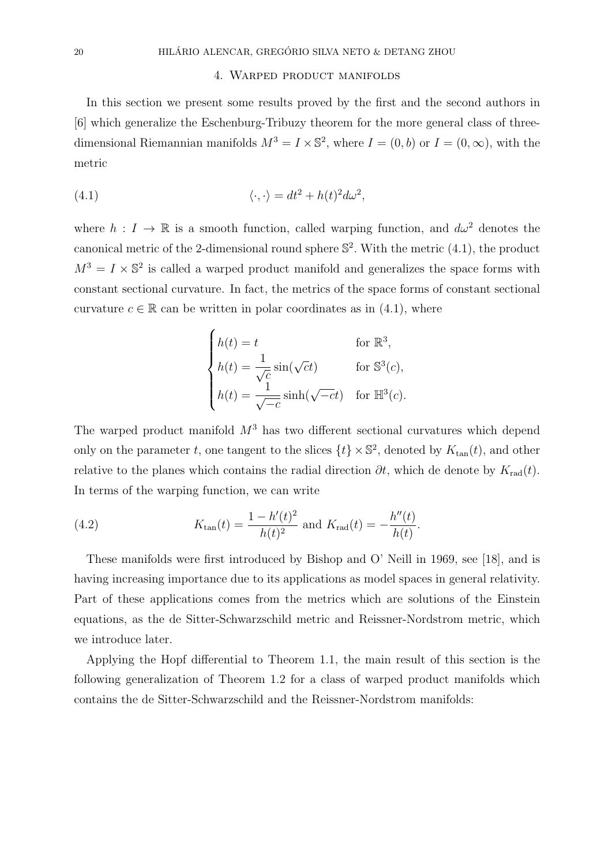## 4. Warped product manifolds

In this section we present some results proved by the first and the second authors in [6] which generalize the Eschenburg-Tribuzy theorem for the more general class of threedimensional Riemannian manifolds  $M^3 = I \times \mathbb{S}^2$ , where  $I = (0, b)$  or  $I = (0, \infty)$ , with the metric

(4.1) 
$$
\langle \cdot, \cdot \rangle = dt^2 + h(t)^2 d\omega^2,
$$

where  $h: I \to \mathbb{R}$  is a smooth function, called warping function, and  $d\omega^2$  denotes the canonical metric of the 2-dimensional round sphere  $\mathbb{S}^2$ . With the metric (4.1), the product  $M^3 = I \times \mathbb{S}^2$  is called a warped product manifold and generalizes the space forms with constant sectional curvature. In fact, the metrics of the space forms of constant sectional curvature  $c \in \mathbb{R}$  can be written in polar coordinates as in (4.1), where

$$
\begin{cases}\nh(t) = t & \text{for } \mathbb{R}^3, \\
h(t) = \frac{1}{\sqrt{c}} \sin(\sqrt{c}t) & \text{for } \mathbb{S}^3(c), \\
h(t) = \frac{1}{\sqrt{-c}} \sinh(\sqrt{-c}t) & \text{for } \mathbb{H}^3(c).\n\end{cases}
$$

The warped product manifold  $M^3$  has two different sectional curvatures which depend only on the parameter t, one tangent to the slices  $\{t\} \times \mathbb{S}^2$ , denoted by  $K_{\tan}(t)$ , and other relative to the planes which contains the radial direction  $\partial t$ , which de denote by  $K_{rad}(t)$ . In terms of the warping function, we can write

(4.2) 
$$
K_{\tan}(t) = \frac{1 - h'(t)^2}{h(t)^2} \text{ and } K_{\text{rad}}(t) = -\frac{h''(t)}{h(t)}.
$$

These manifolds were first introduced by Bishop and O' Neill in 1969, see [18], and is having increasing importance due to its applications as model spaces in general relativity. Part of these applications comes from the metrics which are solutions of the Einstein equations, as the de Sitter-Schwarzschild metric and Reissner-Nordstrom metric, which we introduce later.

Applying the Hopf differential to Theorem 1.1, the main result of this section is the following generalization of Theorem 1.2 for a class of warped product manifolds which contains the de Sitter-Schwarzschild and the Reissner-Nordstrom manifolds: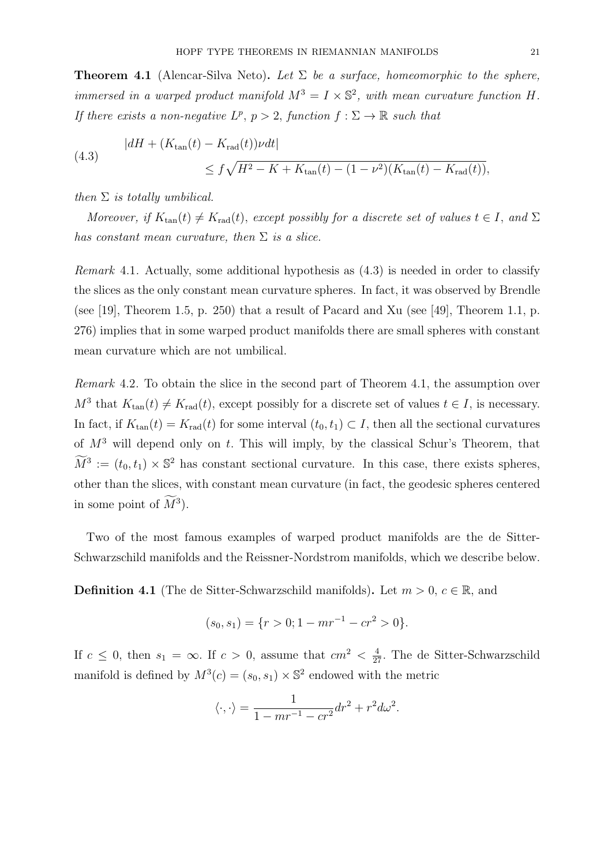**Theorem 4.1** (Alencar-Silva Neto). Let  $\Sigma$  be a surface, homeomorphic to the sphere, immersed in a warped product manifold  $M^3 = I \times \mathbb{S}^2$ , with mean curvature function H. If there exists a non-negative  $L^p$ ,  $p > 2$ , function  $f : \Sigma \to \mathbb{R}$  such that

(4.3) 
$$
|dH + (K_{\tan}(t) - K_{\text{rad}}(t))\nu dt| \le f\sqrt{H^2 - K + K_{\tan}(t) - (1 - \nu^2)(K_{\tan}(t) - K_{\text{rad}}(t))},
$$

then  $\Sigma$  is totally umbilical.

Moreover, if  $K_{tan}(t) \neq K_{rad}(t)$ , except possibly for a discrete set of values  $t \in I$ , and  $\Sigma$ has constant mean curvature, then  $\Sigma$  is a slice.

Remark 4.1. Actually, some additional hypothesis as (4.3) is needed in order to classify the slices as the only constant mean curvature spheres. In fact, it was observed by Brendle (see [19], Theorem 1.5, p. 250) that a result of Pacard and Xu (see [49], Theorem 1.1, p. 276) implies that in some warped product manifolds there are small spheres with constant mean curvature which are not umbilical.

Remark 4.2. To obtain the slice in the second part of Theorem 4.1, the assumption over  $M^3$  that  $K_{tan}(t) \neq K_{rad}(t)$ , except possibly for a discrete set of values  $t \in I$ , is necessary. In fact, if  $K_{tan}(t) = K_{rad}(t)$  for some interval  $(t_0, t_1) \subset I$ , then all the sectional curvatures of  $M^3$  will depend only on t. This will imply, by the classical Schur's Theorem, that  $\widetilde{M}^3 := (t_0, t_1) \times \mathbb{S}^2$  has constant sectional curvature. In this case, there exists spheres, other than the slices, with constant mean curvature (in fact, the geodesic spheres centered in some point of  $M^3$ ).

Two of the most famous examples of warped product manifolds are the de Sitter-Schwarzschild manifolds and the Reissner-Nordstrom manifolds, which we describe below.

**Definition 4.1** (The de Sitter-Schwarzschild manifolds). Let  $m > 0$ ,  $c \in \mathbb{R}$ , and

$$
(s_0, s_1) = \{r > 0; 1 - mr^{-1} - cr^2 > 0\}.
$$

If  $c \leq 0$ , then  $s_1 = \infty$ . If  $c > 0$ , assume that  $cm^2 < \frac{4}{27}$ . The de Sitter-Schwarzschild manifold is defined by  $M^3(c) = (s_0, s_1) \times \mathbb{S}^2$  endowed with the metric

$$
\langle \cdot, \cdot \rangle = \frac{1}{1 - mr^{-1} - cr^2} dr^2 + r^2 d\omega^2.
$$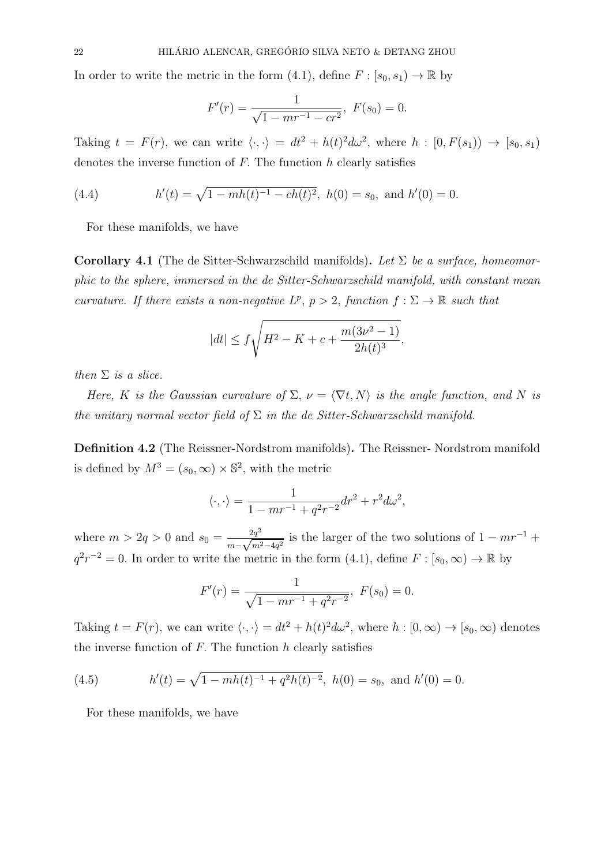In order to write the metric in the form (4.1), define  $F : [s_0, s_1) \to \mathbb{R}$  by

$$
F'(r) = \frac{1}{\sqrt{1 - mr^{-1} - cr^2}}, \ F(s_0) = 0.
$$

Taking  $t = F(r)$ , we can write  $\langle \cdot, \cdot \rangle = dt^2 + h(t)^2 d\omega^2$ , where  $h : [0, F(s_1)) \to [s_0, s_1)$ denotes the inverse function of  $F$ . The function  $h$  clearly satisfies

(4.4) 
$$
h'(t) = \sqrt{1 - mh(t)^{-1} - ch(t)^{2}}, \ h(0) = s_0, \text{ and } h'(0) = 0.
$$

For these manifolds, we have

**Corollary 4.1** (The de Sitter-Schwarzschild manifolds). Let  $\Sigma$  be a surface, homeomorphic to the sphere, immersed in the de Sitter-Schwarzschild manifold, with constant mean curvature. If there exists a non-negative  $L^p$ ,  $p > 2$ , function  $f : \Sigma \to \mathbb{R}$  such that

$$
|dt| \le f\sqrt{H^2 - K + c + \frac{m(3\nu^2 - 1)}{2h(t)^3}},
$$

then  $\Sigma$  is a slice.

Here, K is the Gaussian curvature of  $\Sigma$ ,  $\nu = \langle \nabla t, N \rangle$  is the angle function, and N is the unitary normal vector field of  $\Sigma$  in the de Sitter-Schwarzschild manifold.

Definition 4.2 (The Reissner-Nordstrom manifolds). The Reissner- Nordstrom manifold is defined by  $M^3 = (s_0, \infty) \times \mathbb{S}^2$ , with the metric

$$
\langle \cdot, \cdot \rangle = \frac{1}{1 - mr^{-1} + q^2r^{-2}} dr^2 + r^2 d\omega^2,
$$

where  $m > 2q > 0$  and  $s_0 = \frac{2q^2}{\sqrt{q}}$  $\frac{2q^2}{m-\sqrt{m^2-4q^2}}$  is the larger of the two solutions of  $1 - mr^{-1} +$  $q^2r^{-2} = 0$ . In order to write the metric in the form (4.1), define  $F : [s_0, \infty) \to \mathbb{R}$  by

$$
F'(r) = \frac{1}{\sqrt{1 - mr^{-1} + q^2 r^{-2}}}, \ F(s_0) = 0.
$$

Taking  $t = F(r)$ , we can write  $\langle \cdot, \cdot \rangle = dt^2 + h(t)^2 d\omega^2$ , where  $h : [0, \infty) \to [s_0, \infty)$  denotes the inverse function of  $F$ . The function  $h$  clearly satisfies

(4.5) 
$$
h'(t) = \sqrt{1 - mh(t)^{-1} + q^2h(t)^{-2}}, \ h(0) = s_0, \text{ and } h'(0) = 0.
$$

For these manifolds, we have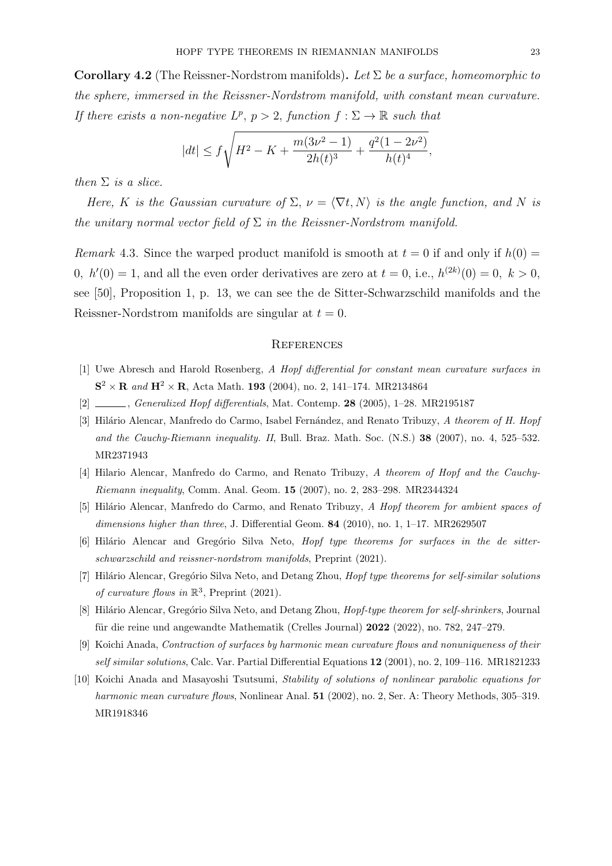**Corollary 4.2** (The Reissner-Nordstrom manifolds). Let  $\Sigma$  be a surface, homeomorphic to the sphere, immersed in the Reissner-Nordstrom manifold, with constant mean curvature. If there exists a non-negative  $L^p$ ,  $p > 2$ , function  $f : \Sigma \to \mathbb{R}$  such that

$$
|dt| \le f \sqrt{H^2 - K + \frac{m(3\nu^2 - 1)}{2h(t)^3} + \frac{q^2(1 - 2\nu^2)}{h(t)^4}},
$$

then  $\Sigma$  is a slice.

Here, K is the Gaussian curvature of  $\Sigma$ ,  $\nu = \langle \nabla t, N \rangle$  is the angle function, and N is the unitary normal vector field of  $\Sigma$  in the Reissner-Nordstrom manifold.

Remark 4.3. Since the warped product manifold is smooth at  $t = 0$  if and only if  $h(0) =$ 0,  $h'(0) = 1$ , and all the even order derivatives are zero at  $t = 0$ , i.e.,  $h^{(2k)}(0) = 0$ ,  $k > 0$ , see [50], Proposition 1, p. 13, we can see the de Sitter-Schwarzschild manifolds and the Reissner-Nordstrom manifolds are singular at  $t = 0$ .

## **REFERENCES**

- [1] Uwe Abresch and Harold Rosenberg, A Hopf differential for constant mean curvature surfaces in  $S^2 \times R$  and  $H^2 \times R$ , Acta Math. 193 (2004), no. 2, 141–174. MR2134864
- [2] , Generalized Hopf differentials, Mat. Contemp. 28 (2005), 1–28. MR2195187
- [3] Hilário Alencar, Manfredo do Carmo, Isabel Fernández, and Renato Tribuzy, A theorem of H. Hopf and the Cauchy-Riemann inequality. II, Bull. Braz. Math. Soc. (N.S.) 38 (2007), no. 4, 525–532. MR2371943
- [4] Hilario Alencar, Manfredo do Carmo, and Renato Tribuzy, A theorem of Hopf and the Cauchy-Riemann inequality, Comm. Anal. Geom. 15 (2007), no. 2, 283–298. MR2344324
- [5] Hilário Alencar, Manfredo do Carmo, and Renato Tribuzy, A Hopf theorem for ambient spaces of dimensions higher than three, J. Differential Geom. **84** (2010), no. 1, 1–17. MR2629507
- $[6]$  Hilário Alencar and Gregório Silva Neto, *Hopf type theorems for surfaces in the de sitter*schwarzschild and reissner-nordstrom manifolds, Preprint (2021).
- [7] Hilário Alencar, Gregório Silva Neto, and Detang Zhou, Hopf type theorems for self-similar solutions of curvature flows in  $\mathbb{R}^3$ , Preprint (2021).
- [8] Hilário Alencar, Gregório Silva Neto, and Detang Zhou, Hopf-type theorem for self-shrinkers, Journal für die reine und angewandte Mathematik (Crelles Journal) 2022 (2022), no. 782, 247–279.
- [9] Koichi Anada, Contraction of surfaces by harmonic mean curvature flows and nonuniqueness of their self similar solutions, Calc. Var. Partial Differential Equations 12 (2001), no. 2, 109–116. MR1821233
- [10] Koichi Anada and Masayoshi Tsutsumi, Stability of solutions of nonlinear parabolic equations for harmonic mean curvature flows, Nonlinear Anal. 51 (2002), no. 2, Ser. A: Theory Methods, 305–319. MR1918346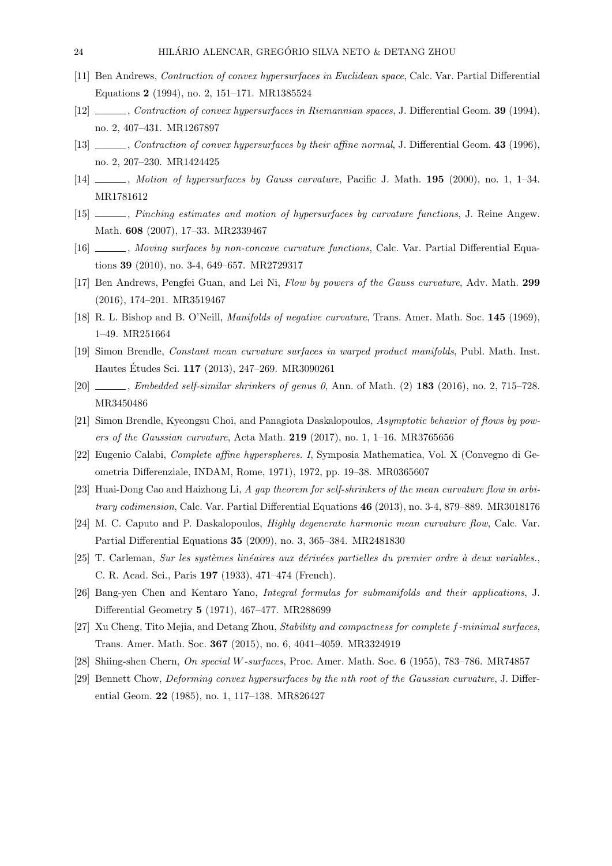- [11] Ben Andrews, Contraction of convex hypersurfaces in Euclidean space, Calc. Var. Partial Differential Equations 2 (1994), no. 2, 151–171. MR1385524
- [12] , Contraction of convex hypersurfaces in Riemannian spaces, J. Differential Geom. 39 (1994), no. 2, 407–431. MR1267897
- [13] Contraction of convex hypersurfaces by their affine normal, J. Differential Geom. 43 (1996), no. 2, 207–230. MR1424425
- [14] Motion of hypersurfaces by Gauss curvature, Pacific J. Math. 195 (2000), no. 1, 1–34. MR1781612
- [15] , Pinching estimates and motion of hypersurfaces by curvature functions, J. Reine Angew. Math. 608 (2007), 17–33. MR2339467
- [16] , Moving surfaces by non-concave curvature functions, Calc. Var. Partial Differential Equations 39 (2010), no. 3-4, 649–657. MR2729317
- [17] Ben Andrews, Pengfei Guan, and Lei Ni, Flow by powers of the Gauss curvature, Adv. Math. 299 (2016), 174–201. MR3519467
- [18] R. L. Bishop and B. O'Neill, Manifolds of negative curvature, Trans. Amer. Math. Soc. 145 (1969), 1–49. MR251664
- [19] Simon Brendle, Constant mean curvature surfaces in warped product manifolds, Publ. Math. Inst. Hautes Etudes Sci. **117** (2013), 247–269. MR3090261
- $[20]$  , Embedded self-similar shrinkers of genus 0, Ann. of Math.  $(2)$  183 (2016), no. 2, 715–728. MR3450486
- [21] Simon Brendle, Kyeongsu Choi, and Panagiota Daskalopoulos, Asymptotic behavior of flows by powers of the Gaussian curvature, Acta Math.  $219$  (2017), no. 1, 1-16. MR3765656
- [22] Eugenio Calabi, Complete affine hyperspheres. I, Symposia Mathematica, Vol. X (Convegno di Geometria Differenziale, INDAM, Rome, 1971), 1972, pp. 19–38. MR0365607
- [23] Huai-Dong Cao and Haizhong Li, A gap theorem for self-shrinkers of the mean curvature flow in arbitrary codimension, Calc. Var. Partial Differential Equations 46 (2013), no. 3-4, 879–889. MR3018176
- [24] M. C. Caputo and P. Daskalopoulos, *Highly degenerate harmonic mean curvature flow*, Calc. Var. Partial Differential Equations 35 (2009), no. 3, 365–384. MR2481830
- [25] T. Carleman, Sur les systèmes linéaires aux dérivées partielles du premier ordre à deux variables., C. R. Acad. Sci., Paris 197 (1933), 471–474 (French).
- [26] Bang-yen Chen and Kentaro Yano, Integral formulas for submanifolds and their applications, J. Differential Geometry 5 (1971), 467–477. MR288699
- [27] Xu Cheng, Tito Mejia, and Detang Zhou, Stability and compactness for complete f-minimal surfaces, Trans. Amer. Math. Soc. 367 (2015), no. 6, 4041–4059. MR3324919
- [28] Shiing-shen Chern, On special W-surfaces, Proc. Amer. Math. Soc. 6 (1955), 783–786. MR74857
- [29] Bennett Chow, Deforming convex hypersurfaces by the nth root of the Gaussian curvature, J. Differential Geom. 22 (1985), no. 1, 117–138. MR826427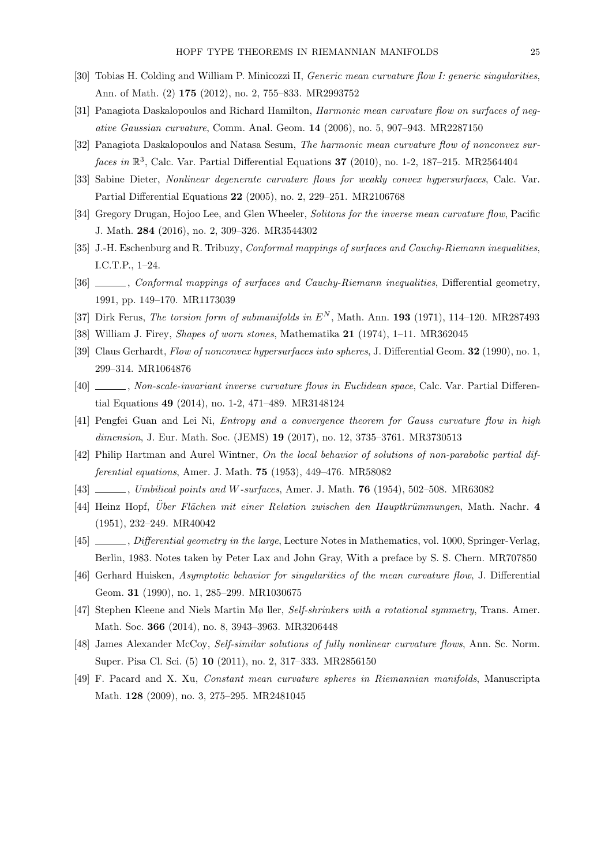- [30] Tobias H. Colding and William P. Minicozzi II, *Generic mean curvature flow I: generic singularities*, Ann. of Math. (2) 175 (2012), no. 2, 755–833. MR2993752
- [31] Panagiota Daskalopoulos and Richard Hamilton, *Harmonic mean curvature flow on surfaces of neg*ative Gaussian curvature, Comm. Anal. Geom. 14 (2006), no. 5, 907–943. MR2287150
- [32] Panagiota Daskalopoulos and Natasa Sesum, The harmonic mean curvature flow of nonconvex surfaces in  $\mathbb{R}^3$ , Calc. Var. Partial Differential Equations 37 (2010), no. 1-2, 187–215. MR2564404
- [33] Sabine Dieter, Nonlinear degenerate curvature flows for weakly convex hypersurfaces, Calc. Var. Partial Differential Equations 22 (2005), no. 2, 229–251. MR2106768
- [34] Gregory Drugan, Hojoo Lee, and Glen Wheeler, Solitons for the inverse mean curvature flow, Pacific J. Math. 284 (2016), no. 2, 309–326. MR3544302
- [35] J.-H. Eschenburg and R. Tribuzy, *Conformal mappings of surfaces and Cauchy-Riemann inequalities*, I.C.T.P., 1–24.
- [36] , Conformal mappings of surfaces and Cauchy-Riemann inequalities, Differential geometry, 1991, pp. 149–170. MR1173039
- [37] Dirk Ferus, The torsion form of submanifolds in  $E<sup>N</sup>$ , Math. Ann. **193** (1971), 114–120. MR287493
- [38] William J. Firey, Shapes of worn stones, Mathematika 21 (1974), 1–11. MR362045
- [39] Claus Gerhardt, Flow of nonconvex hypersurfaces into spheres, J. Differential Geom. 32 (1990), no. 1, 299–314. MR1064876
- [40] , Non-scale-invariant inverse curvature flows in Euclidean space, Calc. Var. Partial Differential Equations 49 (2014), no. 1-2, 471–489. MR3148124
- [41] Pengfei Guan and Lei Ni, Entropy and a convergence theorem for Gauss curvature flow in high dimension, J. Eur. Math. Soc. (JEMS) 19 (2017), no. 12, 3735-3761. MR3730513
- [42] Philip Hartman and Aurel Wintner, On the local behavior of solutions of non-parabolic partial differential equations, Amer. J. Math. 75 (1953), 449–476. MR58082
- [43] , Umbilical points and W-surfaces, Amer. J. Math. 76 (1954), 502–508. MR63082
- [44] Heinz Hopf, Über Flächen mit einer Relation zwischen den Hauptkrümmungen, Math. Nachr. 4 (1951), 232–249. MR40042
- [45] , Differential geometry in the large, Lecture Notes in Mathematics, vol. 1000, Springer-Verlag, Berlin, 1983. Notes taken by Peter Lax and John Gray, With a preface by S. S. Chern. MR707850
- [46] Gerhard Huisken, Asymptotic behavior for singularities of the mean curvature flow, J. Differential Geom. 31 (1990), no. 1, 285–299. MR1030675
- [47] Stephen Kleene and Niels Martin Mø ller, Self-shrinkers with a rotational symmetry, Trans. Amer. Math. Soc. 366 (2014), no. 8, 3943–3963. MR3206448
- [48] James Alexander McCoy, Self-similar solutions of fully nonlinear curvature flows, Ann. Sc. Norm. Super. Pisa Cl. Sci. (5) 10 (2011), no. 2, 317–333. MR2856150
- [49] F. Pacard and X. Xu, Constant mean curvature spheres in Riemannian manifolds, Manuscripta Math. 128 (2009), no. 3, 275–295. MR2481045